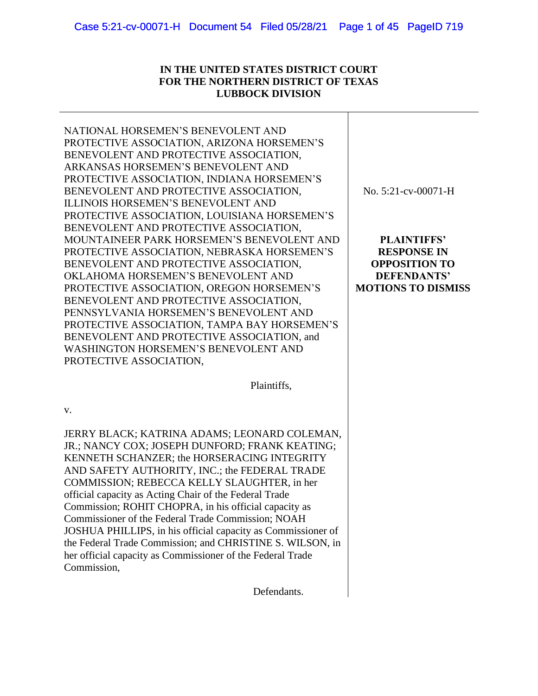## **IN THE UNITED STATES DISTRICT COURT FOR THE NORTHERN DISTRICT OF TEXAS LUBBOCK DIVISION**

NATIONAL HORSEMEN'S BENEVOLENT AND PROTECTIVE ASSOCIATION, ARIZONA HORSEMEN'S BENEVOLENT AND PROTECTIVE ASSOCIATION, ARKANSAS HORSEMEN'S BENEVOLENT AND PROTECTIVE ASSOCIATION, INDIANA HORSEMEN'S BENEVOLENT AND PROTECTIVE ASSOCIATION, ILLINOIS HORSEMEN'S BENEVOLENT AND PROTECTIVE ASSOCIATION, LOUISIANA HORSEMEN'S BENEVOLENT AND PROTECTIVE ASSOCIATION, MOUNTAINEER PARK HORSEMEN'S BENEVOLENT AND PROTECTIVE ASSOCIATION, NEBRASKA HORSEMEN'S BENEVOLENT AND PROTECTIVE ASSOCIATION, OKLAHOMA HORSEMEN'S BENEVOLENT AND PROTECTIVE ASSOCIATION, OREGON HORSEMEN'S BENEVOLENT AND PROTECTIVE ASSOCIATION, PENNSYLVANIA HORSEMEN'S BENEVOLENT AND PROTECTIVE ASSOCIATION, TAMPA BAY HORSEMEN'S BENEVOLENT AND PROTECTIVE ASSOCIATION, and WASHINGTON HORSEMEN'S BENEVOLENT AND PROTECTIVE ASSOCIATION, No. 5:21-cv-00071-H **PLAINTIFFS' RESPONSE IN OPPOSITION TO DEFENDANTS'** 

Plaintiffs,

v.

JERRY BLACK; KATRINA ADAMS; LEONARD COLEMAN, JR.; NANCY COX; JOSEPH DUNFORD; FRANK KEATING; KENNETH SCHANZER; the HORSERACING INTEGRITY AND SAFETY AUTHORITY, INC.; the FEDERAL TRADE COMMISSION; REBECCA KELLY SLAUGHTER, in her official capacity as Acting Chair of the Federal Trade Commission; ROHIT CHOPRA, in his official capacity as Commissioner of the Federal Trade Commission; NOAH JOSHUA PHILLIPS, in his official capacity as Commissioner of the Federal Trade Commission; and CHRISTINE S. WILSON, in her official capacity as Commissioner of the Federal Trade Commission,

Defendants.

**MOTIONS TO DISMISS**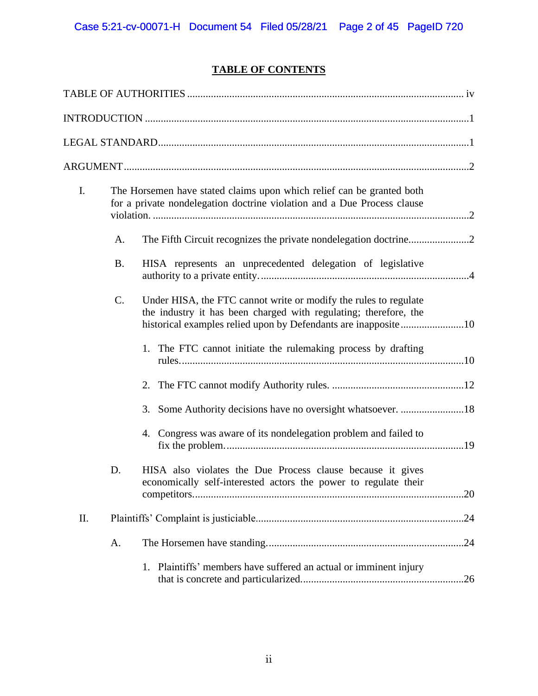# **TABLE OF CONTENTS**

| I. |           | The Horsemen have stated claims upon which relief can be granted both<br>for a private nondelegation doctrine violation and a Due Process clause |     |
|----|-----------|--------------------------------------------------------------------------------------------------------------------------------------------------|-----|
|    | A.        |                                                                                                                                                  |     |
|    | <b>B.</b> | HISA represents an unprecedented delegation of legislative                                                                                       |     |
|    | C.        | Under HISA, the FTC cannot write or modify the rules to regulate<br>the industry it has been charged with regulating; therefore, the             |     |
|    |           | 1. The FTC cannot initiate the rulemaking process by drafting                                                                                    |     |
|    |           | 2.                                                                                                                                               |     |
|    |           |                                                                                                                                                  |     |
|    |           | 4. Congress was aware of its nondelegation problem and failed to                                                                                 |     |
|    | D.        | HISA also violates the Due Process clause because it gives<br>economically self-interested actors the power to regulate their                    | .20 |
| Π. |           |                                                                                                                                                  | .24 |
|    | A.        |                                                                                                                                                  |     |
|    |           | 1. Plaintiffs' members have suffered an actual or imminent injury                                                                                | .26 |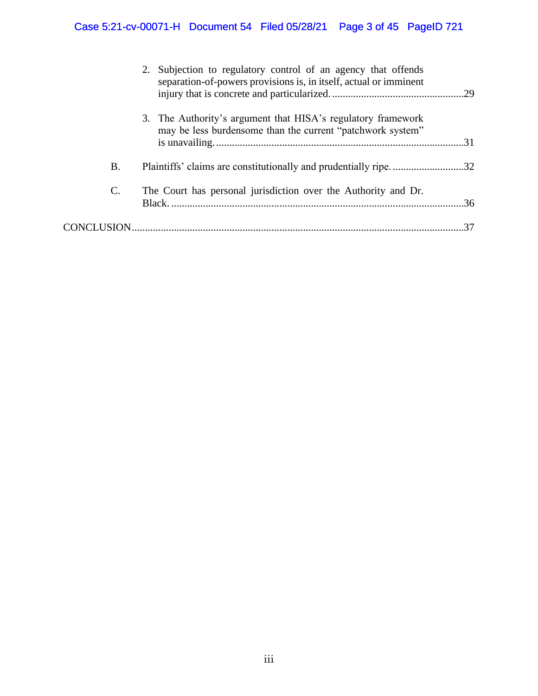# Case 5:21-cv-00071-H Document 54 Filed 05/28/21 Page 3 of 45 PageID 721

|    | 2. Subjection to regulatory control of an agency that offends<br>separation-of-powers provisions is, in itself, actual or imminent |    |
|----|------------------------------------------------------------------------------------------------------------------------------------|----|
|    | 3. The Authority's argument that HISA's regulatory framework<br>may be less burdensome than the current "patchwork system"         |    |
| B. | Plaintiffs' claims are constitutionally and prudentially ripe32                                                                    |    |
| C. | The Court has personal jurisdiction over the Authority and Dr.                                                                     |    |
|    |                                                                                                                                    | 37 |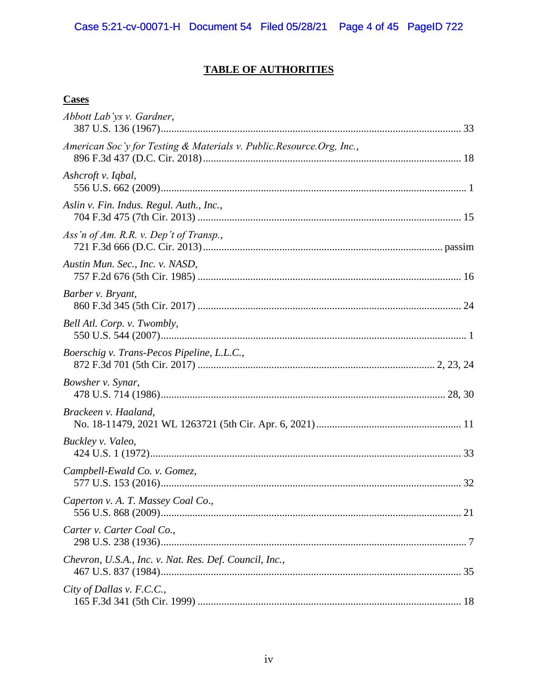# **TABLE OF AUTHORITIES**

# **Cases**

| Abbott Lab'ys v. Gardner,                                            |  |
|----------------------------------------------------------------------|--|
| American Soc'y for Testing & Materials v. Public.Resource.Org, Inc., |  |
| Ashcroft v. Iqbal,                                                   |  |
| Aslin v. Fin. Indus. Regul. Auth., Inc.,                             |  |
| Ass'n of Am. R.R. v. Dep't of Transp.,                               |  |
| Austin Mun. Sec., Inc. v. NASD,                                      |  |
| Barber v. Bryant,                                                    |  |
| Bell Atl. Corp. v. Twombly,                                          |  |
| Boerschig v. Trans-Pecos Pipeline, L.L.C.,                           |  |
| Bowsher v. Synar,                                                    |  |
| Brackeen v. Haaland,                                                 |  |
| Buckley v. Valeo,                                                    |  |
| Campbell-Ewald Co. v. Gomez,                                         |  |
| Caperton v. A. T. Massey Coal Co.,                                   |  |
| Carter v. Carter Coal Co.,                                           |  |
| Chevron, U.S.A., Inc. v. Nat. Res. Def. Council, Inc.,               |  |
| City of Dallas v. F.C.C.,                                            |  |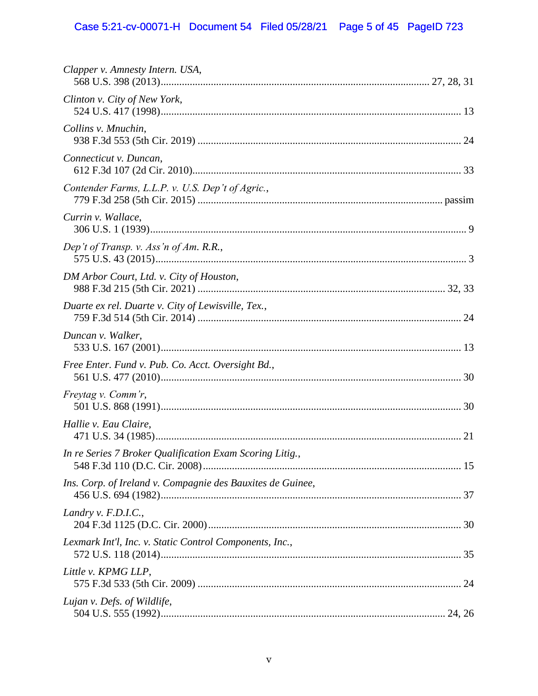# Case 5:21-cv-00071-H Document 54 Filed 05/28/21 Page 5 of 45 PageID 723

| Clapper v. Amnesty Intern. USA,                            |  |
|------------------------------------------------------------|--|
| Clinton v. City of New York,                               |  |
| Collins v. Mnuchin,                                        |  |
| Connecticut v. Duncan,                                     |  |
| Contender Farms, L.L.P. v. U.S. Dep't of Agric.,           |  |
| Currin v. Wallace,                                         |  |
| Dep't of Transp. v. Ass'n of Am. R.R.,                     |  |
| DM Arbor Court, Ltd. v. City of Houston,                   |  |
| Duarte ex rel. Duarte v. City of Lewisville, Tex.,         |  |
| Duncan v. Walker,                                          |  |
| Free Enter. Fund v. Pub. Co. Acct. Oversight Bd.,          |  |
| Freytag v. Comm'r,                                         |  |
| Hallie v. Eau Claire,                                      |  |
| In re Series 7 Broker Qualification Exam Scoring Litig.,   |  |
| Ins. Corp. of Ireland v. Compagnie des Bauxites de Guinee, |  |
| Landry v. $F.D.I.C.,$                                      |  |
| Lexmark Int'l, Inc. v. Static Control Components, Inc.,    |  |
| Little v. KPMG LLP,                                        |  |
| Lujan v. Defs. of Wildlife,                                |  |
|                                                            |  |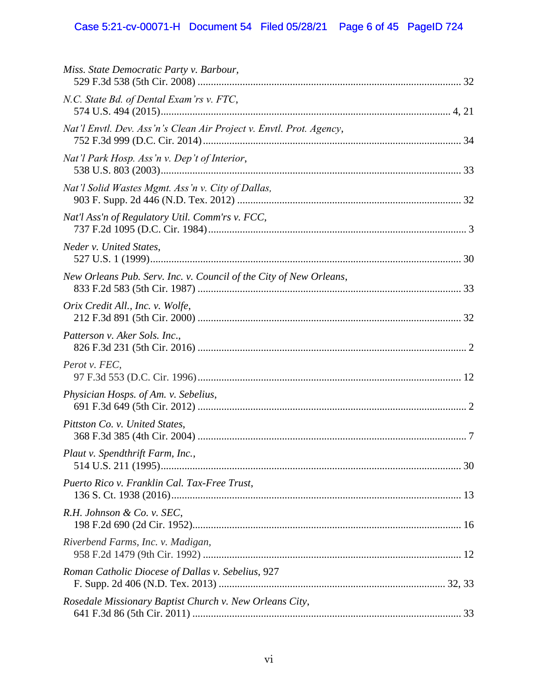# Case 5:21-cv-00071-H Document 54 Filed 05/28/21 Page 6 of 45 PageID 724

| Miss. State Democratic Party v. Barbour,                            |  |
|---------------------------------------------------------------------|--|
| N.C. State Bd. of Dental Exam'rs v. FTC,                            |  |
| Nat'l Envtl. Dev. Ass'n's Clean Air Project v. Envtl. Prot. Agency, |  |
| Nat'l Park Hosp. Ass'n v. Dep't of Interior,                        |  |
| Nat'l Solid Wastes Mgmt. Ass'n v. City of Dallas,                   |  |
| Nat'l Ass'n of Regulatory Util. Comm'rs v. FCC,                     |  |
| Neder v. United States,                                             |  |
| New Orleans Pub. Serv. Inc. v. Council of the City of New Orleans,  |  |
| Orix Credit All., Inc. v. Wolfe,                                    |  |
| Patterson v. Aker Sols. Inc.,                                       |  |
| Perot v. FEC,                                                       |  |
| Physician Hosps. of Am. v. Sebelius,                                |  |
| Pittston Co. v. United States,                                      |  |
| Plaut v. Spendthrift Farm, Inc.,                                    |  |
| Puerto Rico v. Franklin Cal. Tax-Free Trust,                        |  |
| R.H. Johnson & Co. v. SEC,                                          |  |
| Riverbend Farms, Inc. v. Madigan,                                   |  |
| Roman Catholic Diocese of Dallas v. Sebelius, 927                   |  |
| Rosedale Missionary Baptist Church v. New Orleans City,             |  |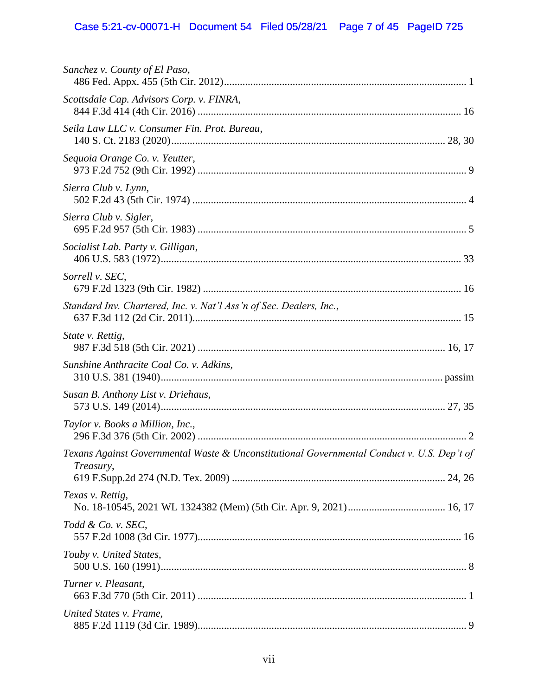# Case 5:21-cv-00071-H Document 54 Filed 05/28/21 Page 7 of 45 PageID 725

| Sanchez v. County of El Paso,                                                                           |
|---------------------------------------------------------------------------------------------------------|
| Scottsdale Cap. Advisors Corp. v. FINRA,                                                                |
| Seila Law LLC v. Consumer Fin. Prot. Bureau,                                                            |
| Sequoia Orange Co. v. Yeutter,                                                                          |
| Sierra Club v. Lynn,                                                                                    |
| Sierra Club v. Sigler,                                                                                  |
| Socialist Lab. Party v. Gilligan,                                                                       |
| Sorrell v. SEC,                                                                                         |
| Standard Inv. Chartered, Inc. v. Nat'l Ass'n of Sec. Dealers, Inc.,                                     |
| State v. Rettig,                                                                                        |
| Sunshine Anthracite Coal Co. v. Adkins,                                                                 |
| Susan B. Anthony List v. Driehaus,                                                                      |
| Taylor v. Books a Million, Inc.,                                                                        |
| Texans Against Governmental Waste & Unconstitutional Governmental Conduct v. U.S. Dep't of<br>Treasury, |
| Texas v. Rettig,                                                                                        |
| Todd & Co. v. SEC,                                                                                      |
| Touby v. United States,                                                                                 |
| Turner v. Pleasant,                                                                                     |
| United States v. Frame,                                                                                 |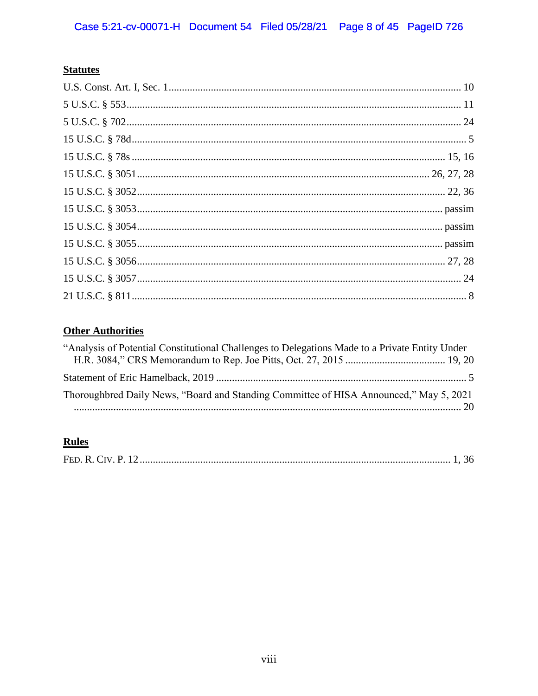# **Statutes**

# **Other Authorities**

| "Analysis of Potential Constitutional Challenges to Delegations Made to a Private Entity Under |  |
|------------------------------------------------------------------------------------------------|--|
|                                                                                                |  |
| Thoroughbred Daily News, "Board and Standing Committee of HISA Announced," May 5, 2021         |  |
|                                                                                                |  |

# **Rules**

|--|--|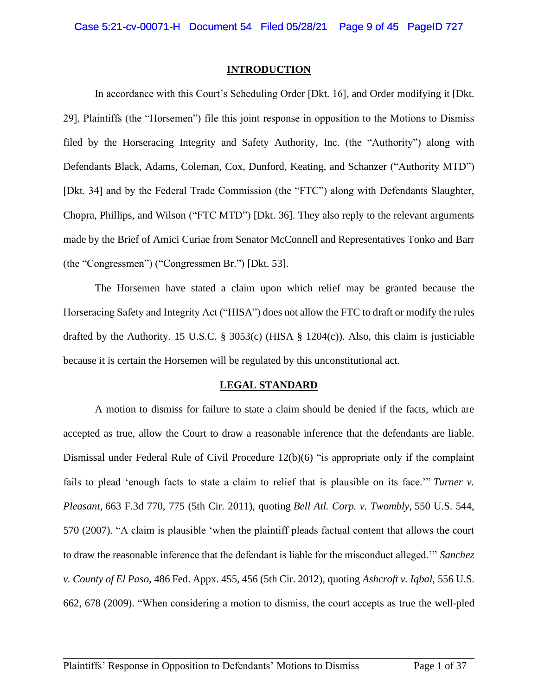#### **INTRODUCTION**

In accordance with this Court's Scheduling Order [Dkt. 16], and Order modifying it [Dkt. 29], Plaintiffs (the "Horsemen") file this joint response in opposition to the Motions to Dismiss filed by the Horseracing Integrity and Safety Authority, Inc. (the "Authority") along with Defendants Black, Adams, Coleman, Cox, Dunford, Keating, and Schanzer ("Authority MTD") [Dkt. 34] and by the Federal Trade Commission (the "FTC") along with Defendants Slaughter, Chopra, Phillips, and Wilson ("FTC MTD") [Dkt. 36]. They also reply to the relevant arguments made by the Brief of Amici Curiae from Senator McConnell and Representatives Tonko and Barr (the "Congressmen") ("Congressmen Br.") [Dkt. 53].

The Horsemen have stated a claim upon which relief may be granted because the Horseracing Safety and Integrity Act ("HISA") does not allow the FTC to draft or modify the rules drafted by the Authority. 15 U.S.C. § 3053(c) (HISA § 1204(c)). Also, this claim is justiciable because it is certain the Horsemen will be regulated by this unconstitutional act.

#### **LEGAL STANDARD**

A motion to dismiss for failure to state a claim should be denied if the facts, which are accepted as true, allow the Court to draw a reasonable inference that the defendants are liable. Dismissal under Federal Rule of Civil Procedure 12(b)(6) "is appropriate only if the complaint fails to plead 'enough facts to state a claim to relief that is plausible on its face.'" *Turner v. Pleasant,* 663 F.3d 770, 775 (5th Cir. 2011), quoting *Bell Atl. Corp. v. Twombly,* 550 U.S. 544, 570 (2007). "A claim is plausible 'when the plaintiff pleads factual content that allows the court to draw the reasonable inference that the defendant is liable for the misconduct alleged.'" *Sanchez v. County of El Paso,* 486 Fed. Appx. 455, 456 (5th Cir. 2012)*,* quoting *Ashcroft v. Iqbal,* 556 U.S. 662, 678 (2009). "When considering a motion to dismiss, the court accepts as true the well-pled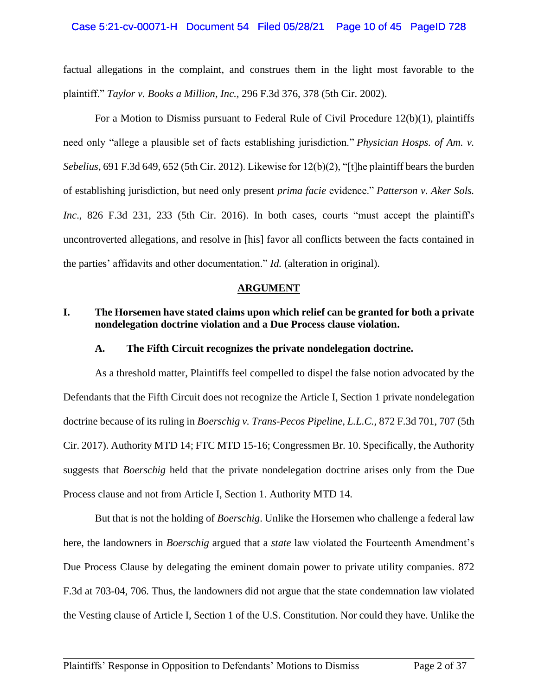#### Case 5:21-cv-00071-H Document 54 Filed 05/28/21 Page 10 of 45 PageID 728

factual allegations in the complaint, and construes them in the light most favorable to the plaintiff." *Taylor v. Books a Million, Inc.,* 296 F.3d 376, 378 (5th Cir. 2002).

For a Motion to Dismiss pursuant to Federal Rule of Civil Procedure 12(b)(1), plaintiffs need only "allege a plausible set of facts establishing jurisdiction." *Physician Hosps. of Am. v. Sebelius*, 691 F.3d 649, 652 (5th Cir. 2012). Likewise for 12(b)(2), "[t]he plaintiff bears the burden of establishing jurisdiction, but need only present *prima facie* evidence." *Patterson v. Aker Sols. Inc.*, 826 F.3d 231, 233 (5th Cir. 2016). In both cases, courts "must accept the plaintiff's uncontroverted allegations, and resolve in [his] favor all conflicts between the facts contained in the parties' affidavits and other documentation." *Id.* (alteration in original).

#### **ARGUMENT**

## **I. The Horsemen have stated claims upon which relief can be granted for both a private nondelegation doctrine violation and a Due Process clause violation.**

#### **A. The Fifth Circuit recognizes the private nondelegation doctrine.**

As a threshold matter, Plaintiffs feel compelled to dispel the false notion advocated by the Defendants that the Fifth Circuit does not recognize the Article I, Section 1 private nondelegation doctrine because of its ruling in *Boerschig v. Trans-Pecos Pipeline, L.L.C.*, 872 F.3d 701, 707 (5th Cir. 2017). Authority MTD 14; FTC MTD 15-16; Congressmen Br. 10. Specifically, the Authority suggests that *Boerschig* held that the private nondelegation doctrine arises only from the Due Process clause and not from Article I, Section 1. Authority MTD 14.

But that is not the holding of *Boerschig*. Unlike the Horsemen who challenge a federal law here, the landowners in *Boerschig* argued that a *state* law violated the Fourteenth Amendment's Due Process Clause by delegating the eminent domain power to private utility companies. 872 F.3d at 703-04, 706. Thus, the landowners did not argue that the state condemnation law violated the Vesting clause of Article I, Section 1 of the U.S. Constitution. Nor could they have. Unlike the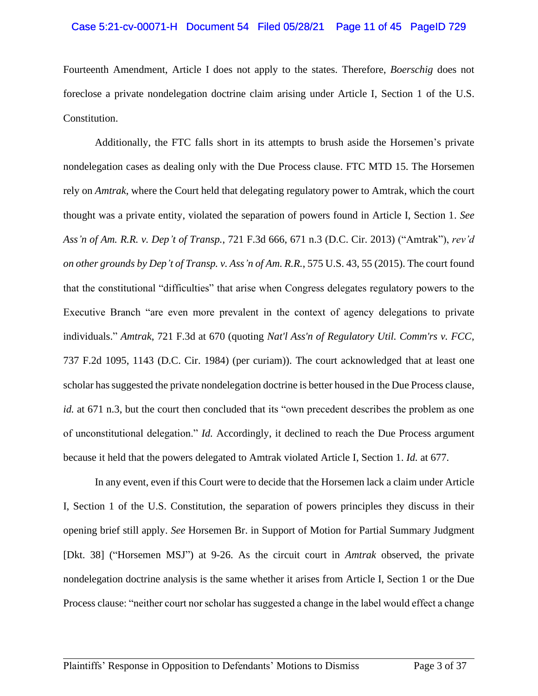#### Case 5:21-cv-00071-H Document 54 Filed 05/28/21 Page 11 of 45 PageID 729

Fourteenth Amendment, Article I does not apply to the states. Therefore, *Boerschig* does not foreclose a private nondelegation doctrine claim arising under Article I, Section 1 of the U.S. Constitution.

Additionally, the FTC falls short in its attempts to brush aside the Horsemen's private nondelegation cases as dealing only with the Due Process clause. FTC MTD 15. The Horsemen rely on *Amtrak*, where the Court held that delegating regulatory power to Amtrak, which the court thought was a private entity, violated the separation of powers found in Article I, Section 1. *See Ass'n of Am. R.R. v. Dep't of Transp.*, 721 F.3d 666, 671 n.3 (D.C. Cir. 2013) ("Amtrak"), *rev'd on other grounds by Dep't of Transp. v. Ass'n of Am. R.R.*, 575 U.S. 43, 55 (2015). The court found that the constitutional "difficulties" that arise when Congress delegates regulatory powers to the Executive Branch "are even more prevalent in the context of agency delegations to private individuals." *Amtrak*, 721 F.3d at 670 (quoting *Nat'l Ass'n of Regulatory Util. Comm'rs v. FCC*, 737 F.2d 1095, 1143 (D.C. Cir. 1984) (per curiam)). The court acknowledged that at least one scholar has suggested the private nondelegation doctrine is better housed in the Due Process clause, *id.* at 671 n.3, but the court then concluded that its "own precedent describes the problem as one of unconstitutional delegation." *Id.* Accordingly, it declined to reach the Due Process argument because it held that the powers delegated to Amtrak violated Article I, Section 1. *Id.* at 677.

In any event, even if this Court were to decide that the Horsemen lack a claim under Article I, Section 1 of the U.S. Constitution, the separation of powers principles they discuss in their opening brief still apply. *See* Horsemen Br. in Support of Motion for Partial Summary Judgment [Dkt. 38] ("Horsemen MSJ") at 9-26. As the circuit court in *Amtrak* observed, the private nondelegation doctrine analysis is the same whether it arises from Article I, Section 1 or the Due Process clause: "neither court nor scholar has suggested a change in the label would effect a change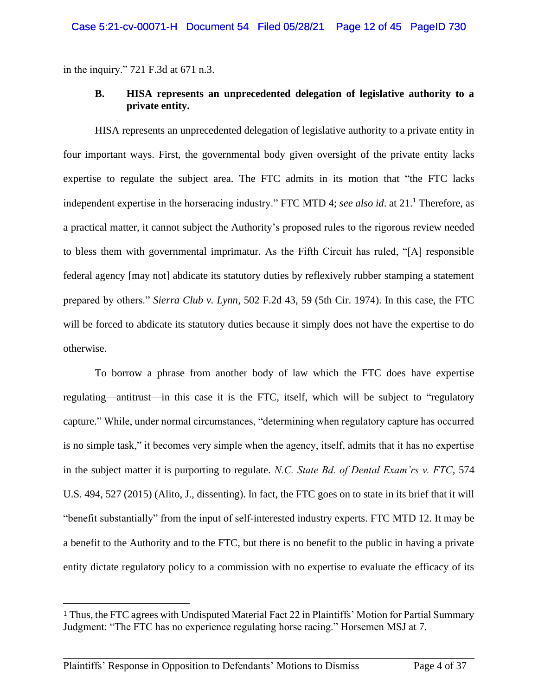in the inquiry." 721 F.3d at 671 n.3.

### **B. HISA represents an unprecedented delegation of legislative authority to a private entity.**

HISA represents an unprecedented delegation of legislative authority to a private entity in four important ways. First, the governmental body given oversight of the private entity lacks expertise to regulate the subject area. The FTC admits in its motion that "the FTC lacks independent expertise in the horseracing industry." FTC MTD 4; *see also id*. at 21. <sup>1</sup> Therefore, as a practical matter, it cannot subject the Authority's proposed rules to the rigorous review needed to bless them with governmental imprimatur. As the Fifth Circuit has ruled, "[A] responsible federal agency [may not] abdicate its statutory duties by reflexively rubber stamping a statement prepared by others." *Sierra Club v. Lynn*, 502 F.2d 43, 59 (5th Cir. 1974). In this case, the FTC will be forced to abdicate its statutory duties because it simply does not have the expertise to do otherwise.

To borrow a phrase from another body of law which the FTC does have expertise regulating—antitrust—in this case it is the FTC, itself, which will be subject to "regulatory capture." While, under normal circumstances, "determining when regulatory capture has occurred is no simple task," it becomes very simple when the agency, itself, admits that it has no expertise in the subject matter it is purporting to regulate. *N.C. State Bd. of Dental Exam'rs v. FTC*, 574 U.S. 494, 527 (2015) (Alito, J., dissenting). In fact, the FTC goes on to state in its brief that it will "benefit substantially" from the input of self-interested industry experts. FTC MTD 12. It may be a benefit to the Authority and to the FTC, but there is no benefit to the public in having a private entity dictate regulatory policy to a commission with no expertise to evaluate the efficacy of its

<sup>&</sup>lt;sup>1</sup> Thus, the FTC agrees with Undisputed Material Fact 22 in Plaintiffs' Motion for Partial Summary Judgment: "The FTC has no experience regulating horse racing." Horsemen MSJ at 7.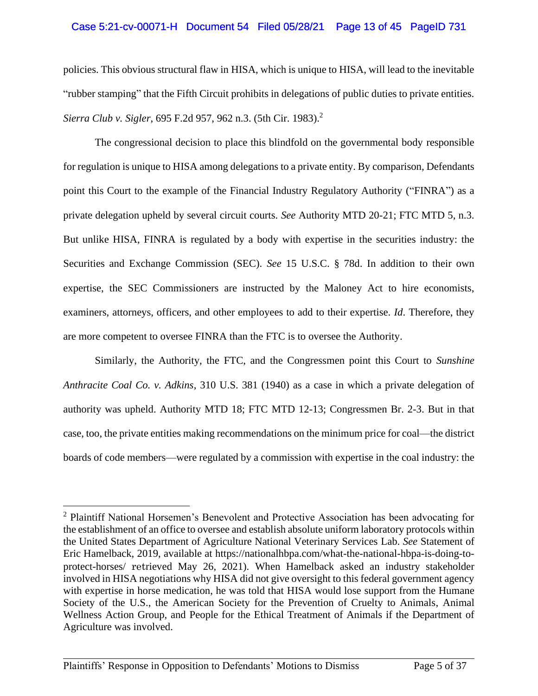## Case 5:21-cv-00071-H Document 54 Filed 05/28/21 Page 13 of 45 PageID 731

policies. This obvious structural flaw in HISA, which is unique to HISA, will lead to the inevitable "rubber stamping" that the Fifth Circuit prohibits in delegations of public duties to private entities. *Sierra Club v. Sigler*, 695 F.2d 957, 962 n.3. (5th Cir. 1983). 2

The congressional decision to place this blindfold on the governmental body responsible for regulation is unique to HISA among delegations to a private entity. By comparison, Defendants point this Court to the example of the Financial Industry Regulatory Authority ("FINRA") as a private delegation upheld by several circuit courts. *See* Authority MTD 20-21; FTC MTD 5, n.3. But unlike HISA, FINRA is regulated by a body with expertise in the securities industry: the Securities and Exchange Commission (SEC). *See* 15 U.S.C. § 78d. In addition to their own expertise, the SEC Commissioners are instructed by the Maloney Act to hire economists, examiners, attorneys, officers, and other employees to add to their expertise. *Id*. Therefore, they are more competent to oversee FINRA than the FTC is to oversee the Authority.

Similarly, the Authority, the FTC, and the Congressmen point this Court to *Sunshine Anthracite Coal Co. v. Adkins,* 310 U.S. 381 (1940) as a case in which a private delegation of authority was upheld. Authority MTD 18; FTC MTD 12-13; Congressmen Br. 2-3. But in that case, too, the private entities making recommendations on the minimum price for coal—the district boards of code members—were regulated by a commission with expertise in the coal industry: the

<sup>&</sup>lt;sup>2</sup> Plaintiff National Horsemen's Benevolent and Protective Association has been advocating for the establishment of an office to oversee and establish absolute uniform laboratory protocols within the United States Department of Agriculture National Veterinary Services Lab. *See* Statement of Eric Hamelback, 2019, available at [https://nationalhbpa.com/what-the-national-hbpa-is-doing-to](https://nationalhbpa.com/what-the-national-hbpa-is-doing-to-protect-horses/)[protect-horses/](https://nationalhbpa.com/what-the-national-hbpa-is-doing-to-protect-horses/) retrieved May 26, 2021). When Hamelback asked an industry stakeholder involved in HISA negotiations why HISA did not give oversight to this federal government agency with expertise in horse medication, he was told that HISA would lose support from the Humane Society of the U.S., the American Society for the Prevention of Cruelty to Animals, Animal Wellness Action Group, and People for the Ethical Treatment of Animals if the Department of Agriculture was involved.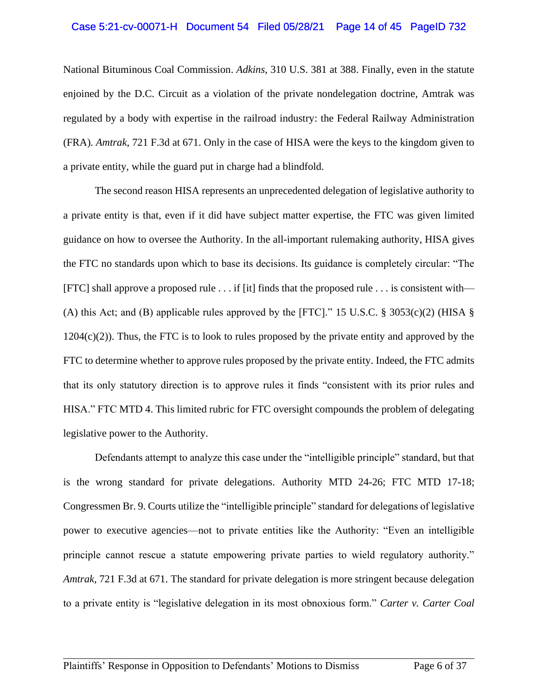#### Case 5:21-cv-00071-H Document 54 Filed 05/28/21 Page 14 of 45 PageID 732

National Bituminous Coal Commission. *Adkins*, 310 U.S. 381 at 388. Finally, even in the statute enjoined by the D.C. Circuit as a violation of the private nondelegation doctrine, Amtrak was regulated by a body with expertise in the railroad industry: the Federal Railway Administration (FRA). *Amtrak*, 721 F.3d at 671. Only in the case of HISA were the keys to the kingdom given to a private entity, while the guard put in charge had a blindfold.

The second reason HISA represents an unprecedented delegation of legislative authority to a private entity is that, even if it did have subject matter expertise, the FTC was given limited guidance on how to oversee the Authority. In the all-important rulemaking authority, HISA gives the FTC no standards upon which to base its decisions. Its guidance is completely circular: "The [FTC] shall approve a proposed rule . . . if [it] finds that the proposed rule . . . is consistent with— (A) this Act; and (B) applicable rules approved by the [FTC]." 15 U.S.C.  $\S$  3053(c)(2) (HISA  $\S$  $1204(c)(2)$ ). Thus, the FTC is to look to rules proposed by the private entity and approved by the FTC to determine whether to approve rules proposed by the private entity. Indeed, the FTC admits that its only statutory direction is to approve rules it finds "consistent with its prior rules and HISA." FTC MTD 4. This limited rubric for FTC oversight compounds the problem of delegating legislative power to the Authority.

Defendants attempt to analyze this case under the "intelligible principle" standard, but that is the wrong standard for private delegations. Authority MTD 24-26; FTC MTD 17-18; Congressmen Br. 9. Courts utilize the "intelligible principle" standard for delegations of legislative power to executive agencies—not to private entities like the Authority: "Even an intelligible principle cannot rescue a statute empowering private parties to wield regulatory authority." *Amtrak*, 721 F.3d at 671. The standard for private delegation is more stringent because delegation to a private entity is "legislative delegation in its most obnoxious form." *Carter v. Carter Coal*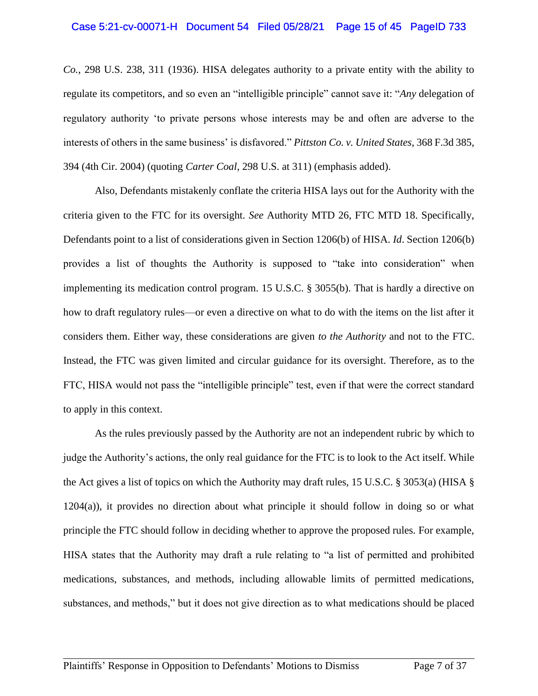*Co.*, 298 U.S. 238, 311 (1936). HISA delegates authority to a private entity with the ability to regulate its competitors, and so even an "intelligible principle" cannot save it: "*Any* delegation of regulatory authority 'to private persons whose interests may be and often are adverse to the interests of others in the same business' is disfavored." *Pittston Co. v. United States*, 368 F.3d 385, 394 (4th Cir. 2004) (quoting *Carter Coal*, 298 U.S. at 311) (emphasis added).

Also, Defendants mistakenly conflate the criteria HISA lays out for the Authority with the criteria given to the FTC for its oversight. *See* Authority MTD 26, FTC MTD 18. Specifically, Defendants point to a list of considerations given in Section 1206(b) of HISA. *Id*. Section 1206(b) provides a list of thoughts the Authority is supposed to "take into consideration" when implementing its medication control program. 15 U.S.C. § 3055(b). That is hardly a directive on how to draft regulatory rules—or even a directive on what to do with the items on the list after it considers them. Either way, these considerations are given *to the Authority* and not to the FTC. Instead, the FTC was given limited and circular guidance for its oversight. Therefore, as to the FTC, HISA would not pass the "intelligible principle" test, even if that were the correct standard to apply in this context.

As the rules previously passed by the Authority are not an independent rubric by which to judge the Authority's actions, the only real guidance for the FTC is to look to the Act itself. While the Act gives a list of topics on which the Authority may draft rules, 15 U.S.C. § 3053(a) (HISA § 1204(a)), it provides no direction about what principle it should follow in doing so or what principle the FTC should follow in deciding whether to approve the proposed rules. For example, HISA states that the Authority may draft a rule relating to "a list of permitted and prohibited medications, substances, and methods, including allowable limits of permitted medications, substances, and methods," but it does not give direction as to what medications should be placed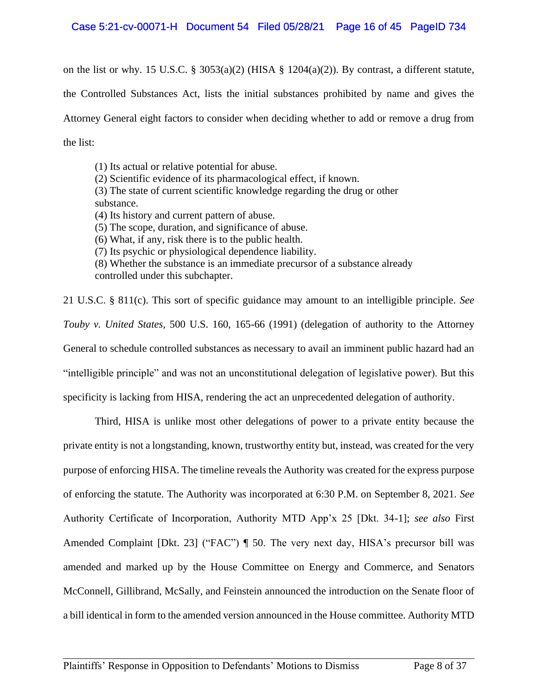### Case 5:21-cv-00071-H Document 54 Filed 05/28/21 Page 16 of 45 PageID 734

on the list or why. 15 U.S.C. § 3053(a)(2) (HISA § 1204(a)(2)). By contrast, a different statute,

the Controlled Substances Act, lists the initial substances prohibited by name and gives the

Attorney General eight factors to consider when deciding whether to add or remove a drug from the list:

(1) Its actual or relative potential for abuse.

(2) Scientific evidence of its pharmacological effect, if known.

(3) The state of current scientific knowledge regarding the drug or other substance.

(4) Its history and current pattern of abuse.

(5) The scope, duration, and significance of abuse.

(6) What, if any, risk there is to the public health.

(7) Its psychic or physiological dependence liability.

(8) Whether the substance is an immediate precursor of a substance already controlled under this subchapter.

21 U.S.C. § 811(c). This sort of specific guidance may amount to an intelligible principle. *See Touby v. United States*, 500 U.S. 160, 165-66 (1991) (delegation of authority to the Attorney General to schedule controlled substances as necessary to avail an imminent public hazard had an "intelligible principle" and was not an unconstitutional delegation of legislative power). But this specificity is lacking from HISA, rendering the act an unprecedented delegation of authority.

Third, HISA is unlike most other delegations of power to a private entity because the private entity is not a longstanding, known, trustworthy entity but, instead, was created for the very purpose of enforcing HISA. The timeline reveals the Authority was created for the express purpose of enforcing the statute. The Authority was incorporated at 6:30 P.M. on September 8, 2021. *See* Authority Certificate of Incorporation, Authority MTD App'x 25 [Dkt. 34-1]; *see also* First Amended Complaint [Dkt. 23] ("FAC")  $\P$  50. The very next day, HISA's precursor bill was amended and marked up by the House Committee on Energy and Commerce, and Senators McConnell, Gillibrand, McSally, and Feinstein announced the introduction on the Senate floor of a bill identical in form to the amended version announced in the House committee. Authority MTD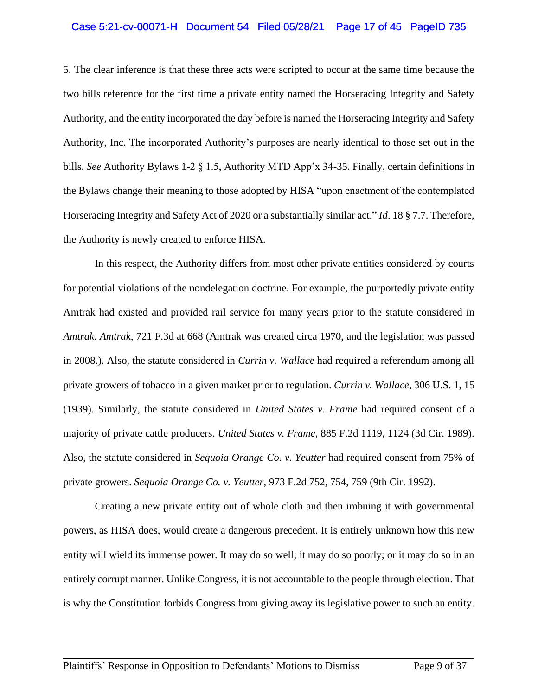#### Case 5:21-cv-00071-H Document 54 Filed 05/28/21 Page 17 of 45 PageID 735

5. The clear inference is that these three acts were scripted to occur at the same time because the two bills reference for the first time a private entity named the Horseracing Integrity and Safety Authority, and the entity incorporated the day before is named the Horseracing Integrity and Safety Authority, Inc. The incorporated Authority's purposes are nearly identical to those set out in the bills. *See* Authority Bylaws 1-2 § 1.5, Authority MTD App'x 34-35. Finally, certain definitions in the Bylaws change their meaning to those adopted by HISA "upon enactment of the contemplated Horseracing Integrity and Safety Act of 2020 or a substantially similar act." *Id*. 18 § 7.7. Therefore, the Authority is newly created to enforce HISA.

In this respect, the Authority differs from most other private entities considered by courts for potential violations of the nondelegation doctrine. For example, the purportedly private entity Amtrak had existed and provided rail service for many years prior to the statute considered in *Amtrak*. *Amtrak,* 721 F.3d at 668 (Amtrak was created circa 1970, and the legislation was passed in 2008.). Also, the statute considered in *Currin v. Wallace* had required a referendum among all private growers of tobacco in a given market prior to regulation. *Currin v. Wallace*, 306 U.S. 1, 15 (1939). Similarly, the statute considered in *United States v. Frame* had required consent of a majority of private cattle producers. *United States v. Frame,* 885 F.2d 1119, 1124 (3d Cir. 1989). Also, the statute considered in *Sequoia Orange Co. v. Yeutter* had required consent from 75% of private growers. *Sequoia Orange Co. v. Yeutter*, 973 F.2d 752, 754, 759 (9th Cir. 1992).

Creating a new private entity out of whole cloth and then imbuing it with governmental powers, as HISA does, would create a dangerous precedent. It is entirely unknown how this new entity will wield its immense power. It may do so well; it may do so poorly; or it may do so in an entirely corrupt manner. Unlike Congress, it is not accountable to the people through election. That is why the Constitution forbids Congress from giving away its legislative power to such an entity.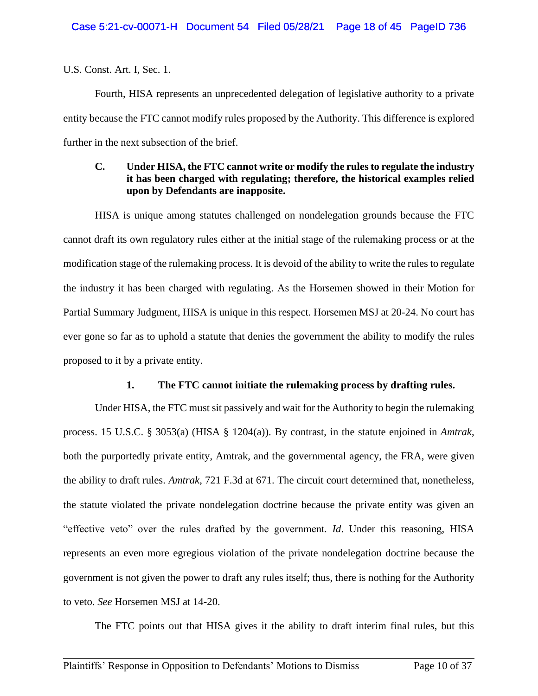U.S. Const. Art. I, Sec. 1.

Fourth, HISA represents an unprecedented delegation of legislative authority to a private entity because the FTC cannot modify rules proposed by the Authority. This difference is explored further in the next subsection of the brief.

# **C. Under HISA, the FTC cannot write or modify the rules to regulate the industry it has been charged with regulating; therefore, the historical examples relied upon by Defendants are inapposite.**

HISA is unique among statutes challenged on nondelegation grounds because the FTC cannot draft its own regulatory rules either at the initial stage of the rulemaking process or at the modification stage of the rulemaking process. It is devoid of the ability to write the rules to regulate the industry it has been charged with regulating. As the Horsemen showed in their Motion for Partial Summary Judgment, HISA is unique in this respect. Horsemen MSJ at 20-24. No court has ever gone so far as to uphold a statute that denies the government the ability to modify the rules proposed to it by a private entity.

## **1. The FTC cannot initiate the rulemaking process by drafting rules.**

Under HISA, the FTC must sit passively and wait for the Authority to begin the rulemaking process. 15 U.S.C. § 3053(a) (HISA § 1204(a)). By contrast, in the statute enjoined in *Amtrak*, both the purportedly private entity, Amtrak, and the governmental agency, the FRA, were given the ability to draft rules. *Amtrak*, 721 F.3d at 671. The circuit court determined that, nonetheless, the statute violated the private nondelegation doctrine because the private entity was given an "effective veto" over the rules drafted by the government. *Id*. Under this reasoning, HISA represents an even more egregious violation of the private nondelegation doctrine because the government is not given the power to draft any rules itself; thus, there is nothing for the Authority to veto. *See* Horsemen MSJ at 14-20.

The FTC points out that HISA gives it the ability to draft interim final rules, but this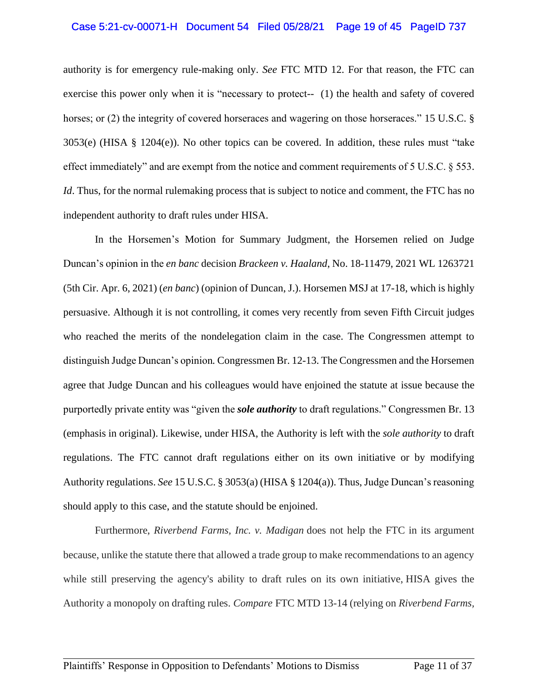#### Case 5:21-cv-00071-H Document 54 Filed 05/28/21 Page 19 of 45 PageID 737

authority is for emergency rule-making only. *See* FTC MTD 12. For that reason, the FTC can exercise this power only when it is "necessary to protect-- (1) the health and safety of covered horses; or (2) the integrity of covered horseraces and wagering on those horseraces." 15 U.S.C. § 3053(e) (HISA § 1204(e)). No other topics can be covered. In addition, these rules must "take effect immediately" and are exempt from the notice and comment requirements of 5 U.S.C. § 553. *Id*. Thus, for the normal rulemaking process that is subject to notice and comment, the FTC has no independent authority to draft rules under HISA.

In the Horsemen's Motion for Summary Judgment, the Horsemen relied on Judge Duncan's opinion in the *en banc* decision *Brackeen v. Haaland*, No. 18-11479, 2021 WL 1263721 (5th Cir. Apr. 6, 2021) (*en banc*) (opinion of Duncan, J.). Horsemen MSJ at 17-18, which is highly persuasive. Although it is not controlling, it comes very recently from seven Fifth Circuit judges who reached the merits of the nondelegation claim in the case. The Congressmen attempt to distinguish Judge Duncan's opinion*.* Congressmen Br. 12-13. The Congressmen and the Horsemen agree that Judge Duncan and his colleagues would have enjoined the statute at issue because the purportedly private entity was "given the *sole authority* to draft regulations." Congressmen Br. 13 (emphasis in original). Likewise, under HISA, the Authority is left with the *sole authority* to draft regulations. The FTC cannot draft regulations either on its own initiative or by modifying Authority regulations. *See* 15 U.S.C. § 3053(a) (HISA § 1204(a)). Thus, Judge Duncan's reasoning should apply to this case, and the statute should be enjoined.

Furthermore, *Riverbend Farms, Inc. v. Madigan* does not help the FTC in its argument because, unlike the statute there that allowed a trade group to make recommendations to an agency while still preserving the agency's ability to draft rules on its own initiative, HISA gives the Authority a monopoly on drafting rules. *Compare* FTC MTD 13-14 (relying on *Riverbend Farms,*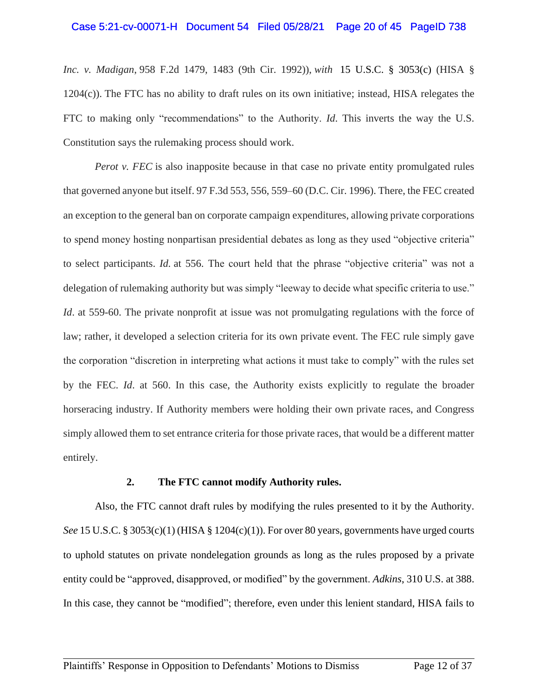#### Case 5:21-cv-00071-H Document 54 Filed 05/28/21 Page 20 of 45 PageID 738

*Inc. v. Madigan*, 958 F.2d 1479, 1483 (9th Cir. 1992)), *with* 15 U.S.C. § 3053(c) (HISA § 1204(c)). The FTC has no ability to draft rules on its own initiative; instead, HISA relegates the FTC to making only "recommendations" to the Authority. *Id*. This inverts the way the U.S. Constitution says the rulemaking process should work.

*Perot v. FEC* is also inapposite because in that case no private entity promulgated rules that governed anyone but itself. 97 F.3d 553, 556, 559–60 (D.C. Cir. 1996). There, the FEC created an exception to the general ban on corporate campaign expenditures, allowing private corporations to spend money hosting nonpartisan presidential debates as long as they used "objective criteria" to select participants. *Id.* at 556. The court held that the phrase "objective criteria" was not a delegation of rulemaking authority but was simply "leeway to decide what specific criteria to use." *Id.* at 559-60. The private nonprofit at issue was not promulgating regulations with the force of law; rather, it developed a selection criteria for its own private event. The FEC rule simply gave the corporation "discretion in interpreting what actions it must take to comply" with the rules set by the FEC. *Id*. at 560. In this case, the Authority exists explicitly to regulate the broader horseracing industry. If Authority members were holding their own private races, and Congress simply allowed them to set entrance criteria for those private races, that would be a different matter entirely.

#### **2. The FTC cannot modify Authority rules.**

Also, the FTC cannot draft rules by modifying the rules presented to it by the Authority. *See* 15 U.S.C. § 3053(c)(1) (HISA § 1204(c)(1)). For over 80 years, governments have urged courts to uphold statutes on private nondelegation grounds as long as the rules proposed by a private entity could be "approved, disapproved, or modified" by the government. *Adkins*, 310 U.S. at 388. In this case, they cannot be "modified"; therefore, even under this lenient standard, HISA fails to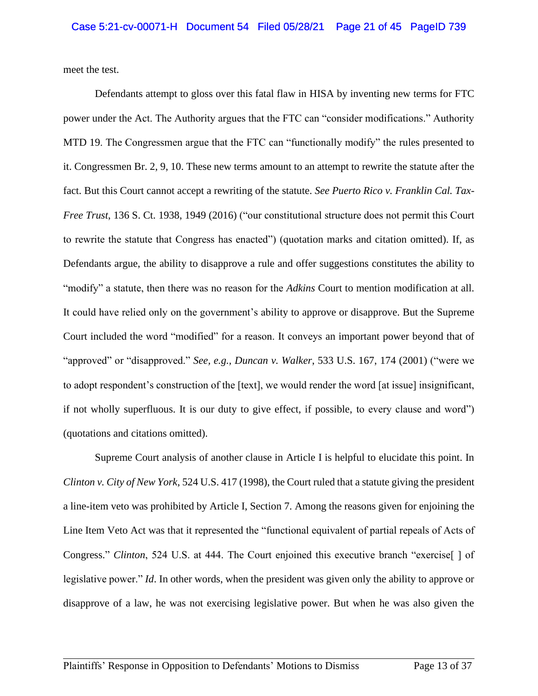meet the test.

Defendants attempt to gloss over this fatal flaw in HISA by inventing new terms for FTC power under the Act. The Authority argues that the FTC can "consider modifications." Authority MTD 19. The Congressmen argue that the FTC can "functionally modify" the rules presented to it. Congressmen Br. 2, 9, 10. These new terms amount to an attempt to rewrite the statute after the fact. But this Court cannot accept a rewriting of the statute. *See Puerto Rico v. Franklin Cal. Tax-Free Trust*, 136 S. Ct. 1938, 1949 (2016) ("our constitutional structure does not permit this Court to rewrite the statute that Congress has enacted") (quotation marks and citation omitted). If, as Defendants argue, the ability to disapprove a rule and offer suggestions constitutes the ability to "modify" a statute, then there was no reason for the *Adkins* Court to mention modification at all. It could have relied only on the government's ability to approve or disapprove. But the Supreme Court included the word "modified" for a reason. It conveys an important power beyond that of "approved" or "disapproved." *See, e.g., Duncan v. Walker*, 533 U.S. 167, 174 (2001) ("were we to adopt respondent's construction of the [text], we would render the word [at issue] insignificant, if not wholly superfluous. It is our duty to give effect, if possible, to every clause and word") (quotations and citations omitted).

Supreme Court analysis of another clause in Article I is helpful to elucidate this point. In *Clinton v. City of New York*, 524 U.S. 417 (1998), the Court ruled that a statute giving the president a line-item veto was prohibited by Article I, Section 7. Among the reasons given for enjoining the Line Item Veto Act was that it represented the "functional equivalent of partial repeals of Acts of Congress." *Clinton*, 524 U.S. at 444. The Court enjoined this executive branch "exercise[ ] of legislative power." *Id*. In other words, when the president was given only the ability to approve or disapprove of a law, he was not exercising legislative power. But when he was also given the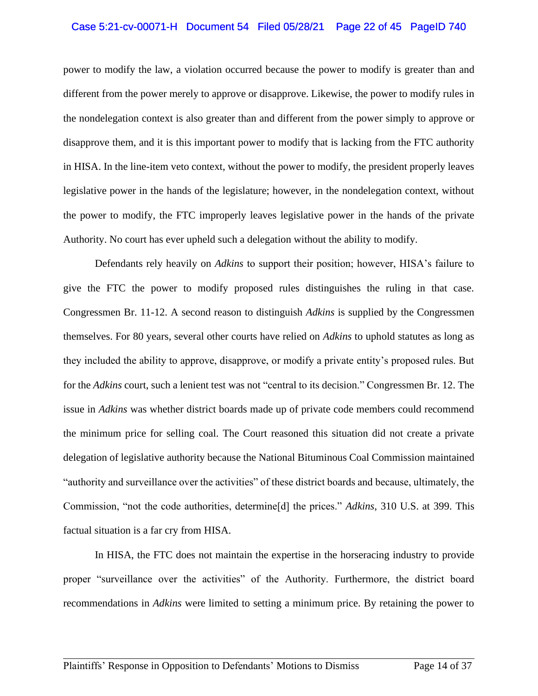### Case 5:21-cv-00071-H Document 54 Filed 05/28/21 Page 22 of 45 PageID 740

power to modify the law, a violation occurred because the power to modify is greater than and different from the power merely to approve or disapprove. Likewise, the power to modify rules in the nondelegation context is also greater than and different from the power simply to approve or disapprove them, and it is this important power to modify that is lacking from the FTC authority in HISA. In the line-item veto context, without the power to modify, the president properly leaves legislative power in the hands of the legislature; however, in the nondelegation context, without the power to modify, the FTC improperly leaves legislative power in the hands of the private Authority. No court has ever upheld such a delegation without the ability to modify.

Defendants rely heavily on *Adkins* to support their position; however, HISA's failure to give the FTC the power to modify proposed rules distinguishes the ruling in that case. Congressmen Br. 11-12. A second reason to distinguish *Adkins* is supplied by the Congressmen themselves. For 80 years, several other courts have relied on *Adkins* to uphold statutes as long as they included the ability to approve, disapprove, or modify a private entity's proposed rules. But for the *Adkins* court, such a lenient test was not "central to its decision." Congressmen Br. 12. The issue in *Adkins* was whether district boards made up of private code members could recommend the minimum price for selling coal. The Court reasoned this situation did not create a private delegation of legislative authority because the National Bituminous Coal Commission maintained "authority and surveillance over the activities" of these district boards and because, ultimately, the Commission, "not the code authorities, determine[d] the prices." *Adkins*, 310 U.S. at 399. This factual situation is a far cry from HISA.

In HISA, the FTC does not maintain the expertise in the horseracing industry to provide proper "surveillance over the activities" of the Authority. Furthermore, the district board recommendations in *Adkins* were limited to setting a minimum price. By retaining the power to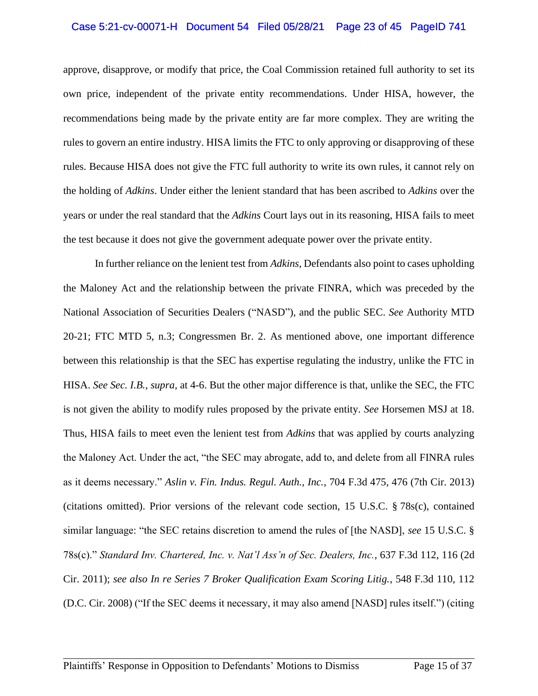#### Case 5:21-cv-00071-H Document 54 Filed 05/28/21 Page 23 of 45 PageID 741

approve, disapprove, or modify that price, the Coal Commission retained full authority to set its own price, independent of the private entity recommendations. Under HISA, however, the recommendations being made by the private entity are far more complex. They are writing the rules to govern an entire industry. HISA limits the FTC to only approving or disapproving of these rules. Because HISA does not give the FTC full authority to write its own rules, it cannot rely on the holding of *Adkins*. Under either the lenient standard that has been ascribed to *Adkins* over the years or under the real standard that the *Adkins* Court lays out in its reasoning, HISA fails to meet the test because it does not give the government adequate power over the private entity.

In further reliance on the lenient test from *Adkins*, Defendants also point to cases upholding the Maloney Act and the relationship between the private FINRA, which was preceded by the National Association of Securities Dealers ("NASD"), and the public SEC. *See* Authority MTD 20-21; FTC MTD 5, n.3; Congressmen Br. 2. As mentioned above, one important difference between this relationship is that the SEC has expertise regulating the industry, unlike the FTC in HISA. *See Sec. I.B., supra,* at 4-6. But the other major difference is that, unlike the SEC, the FTC is not given the ability to modify rules proposed by the private entity. *See* Horsemen MSJ at 18. Thus, HISA fails to meet even the lenient test from *Adkins* that was applied by courts analyzing the Maloney Act. Under the act, "the SEC may abrogate, add to, and delete from all FINRA rules as it deems necessary." *Aslin v. Fin. Indus. Regul. Auth., Inc.*, 704 F.3d 475, 476 (7th Cir. 2013) (citations omitted). Prior versions of the relevant code section, 15 U.S.C. § 78s(c), contained similar language: "the SEC retains discretion to amend the rules of [the NASD], *see* 15 U.S.C. § 78s(c)." *Standard Inv. Chartered, Inc. v. Nat'l Ass'n of Sec. Dealers, Inc.*, 637 F.3d 112, 116 (2d Cir. 2011); *see also In re Series 7 Broker Qualification Exam Scoring Litig.*, 548 F.3d 110, 112 (D.C. Cir. 2008) ("If the SEC deems it necessary, it may also amend [NASD] rules itself.") (citing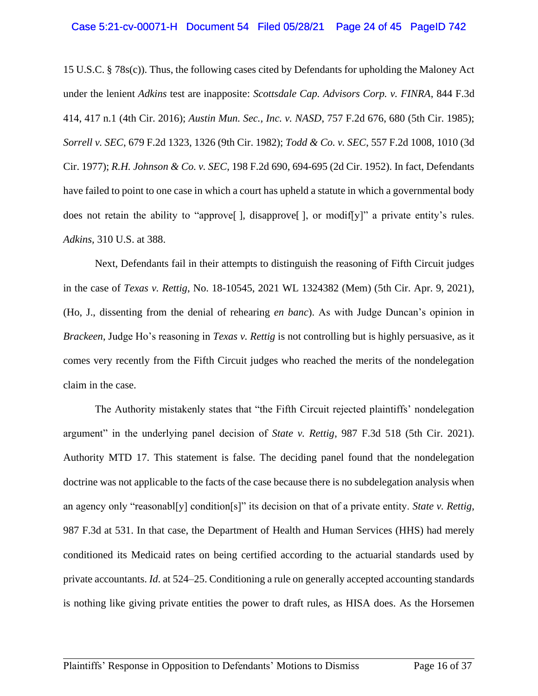15 U.S.C. § 78s(c)). Thus, the following cases cited by Defendants for upholding the Maloney Act under the lenient *Adkins* test are inapposite: *Scottsdale Cap. Advisors Corp. v. FINRA*, 844 F.3d 414, 417 n.1 (4th Cir. 2016); *Austin Mun. Sec., Inc. v. NASD*, 757 F.2d 676, 680 (5th Cir. 1985); *Sorrell v. SEC*, 679 F.2d 1323, 1326 (9th Cir. 1982); *Todd & Co. v. SEC*, 557 F.2d 1008, 1010 (3d Cir. 1977); *R.H. Johnson & Co. v. SEC*, 198 F.2d 690, 694-695 (2d Cir. 1952). In fact, Defendants have failed to point to one case in which a court has upheld a statute in which a governmental body does not retain the ability to "approve[ ], disapprove[ ], or modif[y]" a private entity's rules. *Adkins,* 310 U.S. at 388.

Next, Defendants fail in their attempts to distinguish the reasoning of Fifth Circuit judges in the case of *Texas v. Rettig*, No. 18-10545, 2021 WL 1324382 (Mem) (5th Cir. Apr. 9, 2021), (Ho, J., dissenting from the denial of rehearing *en banc*). As with Judge Duncan's opinion in *Brackeen*, Judge Ho's reasoning in *Texas v. Rettig* is not controlling but is highly persuasive, as it comes very recently from the Fifth Circuit judges who reached the merits of the nondelegation claim in the case.

The Authority mistakenly states that "the Fifth Circuit rejected plaintiffs' nondelegation argument" in the underlying panel decision of *State v. Rettig*, 987 F.3d 518 (5th Cir. 2021). Authority MTD 17. This statement is false. The deciding panel found that the nondelegation doctrine was not applicable to the facts of the case because there is no subdelegation analysis when an agency only "reasonabl[y] condition[s]" its decision on that of a private entity. *State v. Rettig*, 987 F.3d at 531. In that case, the Department of Health and Human Services (HHS) had merely conditioned its Medicaid rates on being certified according to the actuarial standards used by private accountants. *Id*. at 524–25. Conditioning a rule on generally accepted accounting standards is nothing like giving private entities the power to draft rules, as HISA does. As the Horsemen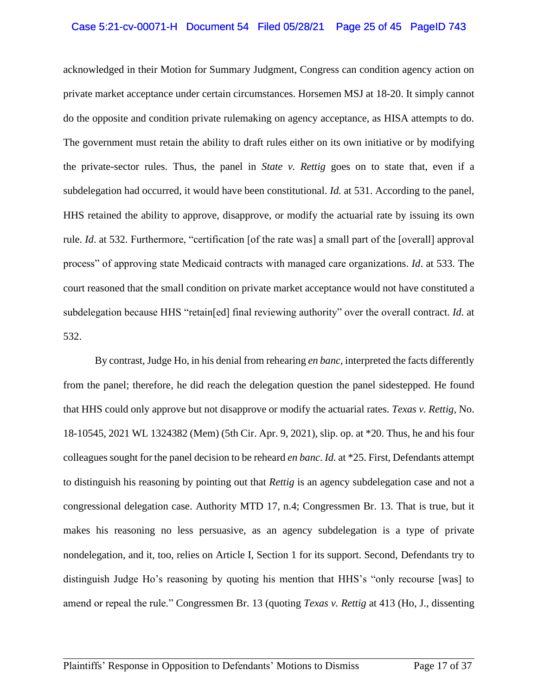### Case 5:21-cv-00071-H Document 54 Filed 05/28/21 Page 25 of 45 PageID 743

acknowledged in their Motion for Summary Judgment, Congress can condition agency action on private market acceptance under certain circumstances. Horsemen MSJ at 18-20. It simply cannot do the opposite and condition private rulemaking on agency acceptance, as HISA attempts to do. The government must retain the ability to draft rules either on its own initiative or by modifying the private-sector rules. Thus, the panel in *State v. Rettig* goes on to state that, even if a subdelegation had occurred, it would have been constitutional. *Id.* at 531. According to the panel, HHS retained the ability to approve, disapprove, or modify the actuarial rate by issuing its own rule. *Id*. at 532. Furthermore, "certification [of the rate was] a small part of the [overall] approval process" of approving state Medicaid contracts with managed care organizations. *Id*. at 533. The court reasoned that the small condition on private market acceptance would not have constituted a subdelegation because HHS "retain[ed] final reviewing authority" over the overall contract. *Id*. at 532.

By contrast, Judge Ho, in his denial from rehearing *en banc*, interpreted the facts differently from the panel; therefore, he did reach the delegation question the panel sidestepped. He found that HHS could only approve but not disapprove or modify the actuarial rates. *Texas v. Rettig*, No. 18-10545, 2021 WL 1324382 (Mem) (5th Cir. Apr. 9, 2021), slip. op. at \*20. Thus, he and his four colleagues sought for the panel decision to be reheard *en banc*. *Id.* at \*25. First, Defendants attempt to distinguish his reasoning by pointing out that *Rettig* is an agency subdelegation case and not a congressional delegation case. Authority MTD 17, n.4; Congressmen Br. 13. That is true, but it makes his reasoning no less persuasive, as an agency subdelegation is a type of private nondelegation, and it, too, relies on Article I, Section 1 for its support. Second, Defendants try to distinguish Judge Ho's reasoning by quoting his mention that HHS's "only recourse [was] to amend or repeal the rule." Congressmen Br. 13 (quoting *Texas v. Rettig* at 413 (Ho, J., dissenting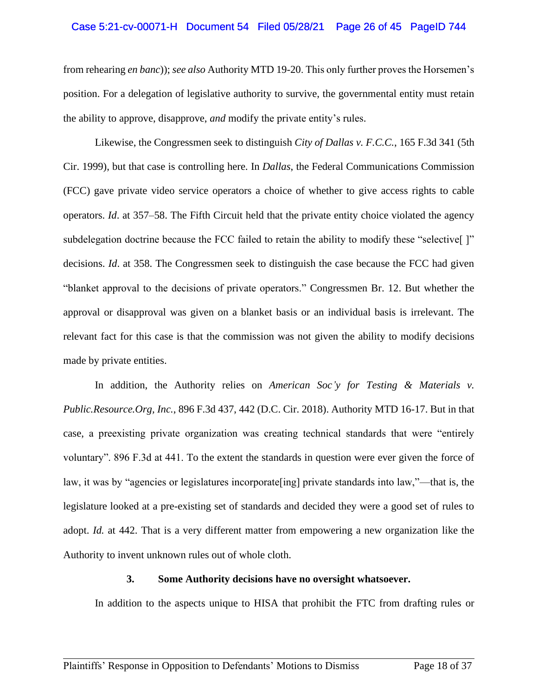#### Case 5:21-cv-00071-H Document 54 Filed 05/28/21 Page 26 of 45 PageID 744

from rehearing *en banc*)); *see also* Authority MTD 19-20. This only further proves the Horsemen's position. For a delegation of legislative authority to survive, the governmental entity must retain the ability to approve, disapprove, *and* modify the private entity's rules.

Likewise, the Congressmen seek to distinguish *City of Dallas v. F.C.C.*, 165 F.3d 341 (5th Cir. 1999), but that case is controlling here. In *Dallas*, the Federal Communications Commission (FCC) gave private video service operators a choice of whether to give access rights to cable operators. *Id*. at 357–58. The Fifth Circuit held that the private entity choice violated the agency subdelegation doctrine because the FCC failed to retain the ability to modify these "selective" [" decisions. *Id*. at 358. The Congressmen seek to distinguish the case because the FCC had given "blanket approval to the decisions of private operators." Congressmen Br. 12. But whether the approval or disapproval was given on a blanket basis or an individual basis is irrelevant. The relevant fact for this case is that the commission was not given the ability to modify decisions made by private entities.

In addition, the Authority relies on *American Soc'y for Testing & Materials v. Public.Resource.Org, Inc.*, 896 F.3d 437, 442 (D.C. Cir. 2018). Authority MTD 16-17. But in that case, a preexisting private organization was creating technical standards that were "entirely voluntary". 896 F.3d at 441. To the extent the standards in question were ever given the force of law, it was by "agencies or legislatures incorporate[ing] private standards into law,"—that is, the legislature looked at a pre-existing set of standards and decided they were a good set of rules to adopt. *Id.* at 442. That is a very different matter from empowering a new organization like the Authority to invent unknown rules out of whole cloth.

#### **3. Some Authority decisions have no oversight whatsoever.**

In addition to the aspects unique to HISA that prohibit the FTC from drafting rules or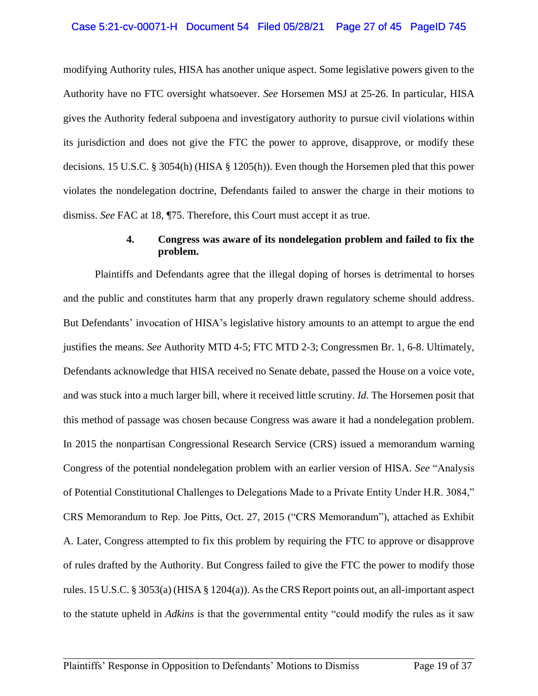#### Case 5:21-cv-00071-H Document 54 Filed 05/28/21 Page 27 of 45 PageID 745

modifying Authority rules, HISA has another unique aspect. Some legislative powers given to the Authority have no FTC oversight whatsoever. *See* Horsemen MSJ at 25-26. In particular, HISA gives the Authority federal subpoena and investigatory authority to pursue civil violations within its jurisdiction and does not give the FTC the power to approve, disapprove, or modify these decisions. 15 U.S.C. § 3054(h) (HISA § 1205(h)). Even though the Horsemen pled that this power violates the nondelegation doctrine, Defendants failed to answer the charge in their motions to dismiss. *See* FAC at 18, ¶75. Therefore, this Court must accept it as true.

#### **4. Congress was aware of its nondelegation problem and failed to fix the problem.**

Plaintiffs and Defendants agree that the illegal doping of horses is detrimental to horses and the public and constitutes harm that any properly drawn regulatory scheme should address. But Defendants' invocation of HISA's legislative history amounts to an attempt to argue the end justifies the means. *See* Authority MTD 4-5; FTC MTD 2-3; Congressmen Br. 1, 6-8. Ultimately, Defendants acknowledge that HISA received no Senate debate, passed the House on a voice vote, and was stuck into a much larger bill, where it received little scrutiny. *Id*. The Horsemen posit that this method of passage was chosen because Congress was aware it had a nondelegation problem. In 2015 the nonpartisan Congressional Research Service (CRS) issued a memorandum warning Congress of the potential nondelegation problem with an earlier version of HISA. *See* "Analysis of Potential Constitutional Challenges to Delegations Made to a Private Entity Under H.R. 3084," CRS Memorandum to Rep. Joe Pitts, Oct. 27, 2015 ("CRS Memorandum"), attached as Exhibit A. Later, Congress attempted to fix this problem by requiring the FTC to approve or disapprove of rules drafted by the Authority. But Congress failed to give the FTC the power to modify those rules. 15 U.S.C. § 3053(a) (HISA § 1204(a)). As the CRS Report points out, an all-important aspect to the statute upheld in *Adkins* is that the governmental entity "could modify the rules as it saw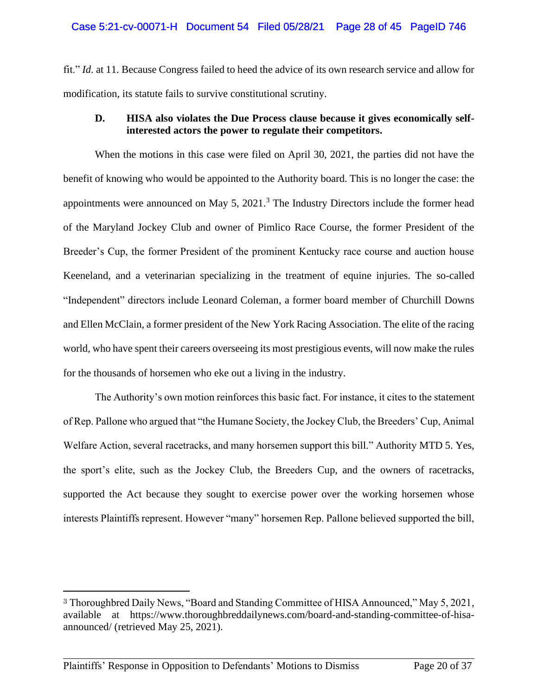fit." *Id*. at 11. Because Congress failed to heed the advice of its own research service and allow for modification, its statute fails to survive constitutional scrutiny.

## **D. HISA also violates the Due Process clause because it gives economically selfinterested actors the power to regulate their competitors.**

When the motions in this case were filed on April 30, 2021, the parties did not have the benefit of knowing who would be appointed to the Authority board. This is no longer the case: the appointments were announced on May 5,  $2021<sup>3</sup>$ . The Industry Directors include the former head of the Maryland Jockey Club and owner of Pimlico Race Course, the former President of the Breeder's Cup, the former President of the prominent Kentucky race course and auction house Keeneland, and a veterinarian specializing in the treatment of equine injuries. The so-called "Independent" directors include Leonard Coleman, a former board member of Churchill Downs and Ellen McClain, a former president of the New York Racing Association. The elite of the racing world, who have spent their careers overseeing its most prestigious events, will now make the rules for the thousands of horsemen who eke out a living in the industry.

The Authority's own motion reinforces this basic fact. For instance, it cites to the statement of Rep. Pallone who argued that "the Humane Society, the Jockey Club, the Breeders' Cup, Animal Welfare Action, several racetracks, and many horsemen support this bill." Authority MTD 5. Yes, the sport's elite, such as the Jockey Club, the Breeders Cup, and the owners of racetracks, supported the Act because they sought to exercise power over the working horsemen whose interests Plaintiffs represent. However "many" horsemen Rep. Pallone believed supported the bill,

<sup>3</sup> Thoroughbred Daily News, "Board and Standing Committee of HISA Announced," May 5, 2021, available at https://www.thoroughbreddailynews.com/board-and-standing-committee-of-hisaannounced/ (retrieved May 25, 2021).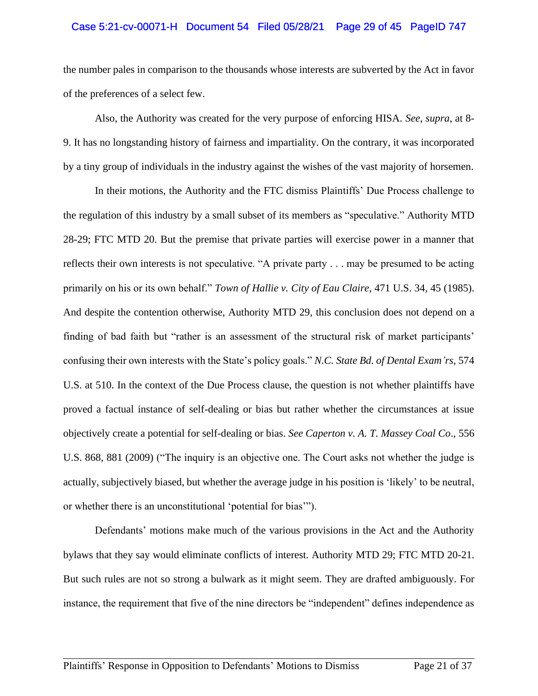### Case 5:21-cv-00071-H Document 54 Filed 05/28/21 Page 29 of 45 PageID 747

the number pales in comparison to the thousands whose interests are subverted by the Act in favor of the preferences of a select few.

Also, the Authority was created for the very purpose of enforcing HISA. *See*, *supra*, at 8- 9. It has no longstanding history of fairness and impartiality. On the contrary, it was incorporated by a tiny group of individuals in the industry against the wishes of the vast majority of horsemen.

In their motions, the Authority and the FTC dismiss Plaintiffs' Due Process challenge to the regulation of this industry by a small subset of its members as "speculative." Authority MTD 28-29; FTC MTD 20. But the premise that private parties will exercise power in a manner that reflects their own interests is not speculative. "A private party . . . may be presumed to be acting primarily on his or its own behalf." *Town of Hallie v. City of Eau Claire*, 471 U.S. 34, 45 (1985). And despite the contention otherwise, Authority MTD 29, this conclusion does not depend on a finding of bad faith but "rather is an assessment of the structural risk of market participants' confusing their own interests with the State's policy goals." *N.C. State Bd. of Dental Exam'rs*, 574 U.S. at 510. In the context of the Due Process clause, the question is not whether plaintiffs have proved a factual instance of self-dealing or bias but rather whether the circumstances at issue objectively create a potential for self-dealing or bias. *See Caperton v. A. T. Massey Coal Co*., 556 U.S. 868, 881 (2009) ("The inquiry is an objective one. The Court asks not whether the judge is actually, subjectively biased, but whether the average judge in his position is 'likely' to be neutral, or whether there is an unconstitutional 'potential for bias'").

Defendants' motions make much of the various provisions in the Act and the Authority bylaws that they say would eliminate conflicts of interest. Authority MTD 29; FTC MTD 20-21. But such rules are not so strong a bulwark as it might seem. They are drafted ambiguously. For instance, the requirement that five of the nine directors be "independent" defines independence as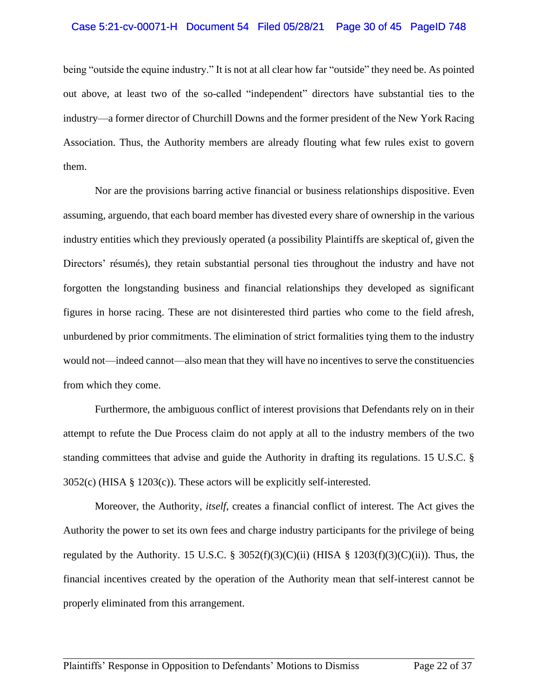#### Case 5:21-cv-00071-H Document 54 Filed 05/28/21 Page 30 of 45 PageID 748

being "outside the equine industry." It is not at all clear how far "outside" they need be. As pointed out above, at least two of the so-called "independent" directors have substantial ties to the industry—a former director of Churchill Downs and the former president of the New York Racing Association. Thus, the Authority members are already flouting what few rules exist to govern them.

Nor are the provisions barring active financial or business relationships dispositive. Even assuming, arguendo, that each board member has divested every share of ownership in the various industry entities which they previously operated (a possibility Plaintiffs are skeptical of, given the Directors' résumés), they retain substantial personal ties throughout the industry and have not forgotten the longstanding business and financial relationships they developed as significant figures in horse racing. These are not disinterested third parties who come to the field afresh, unburdened by prior commitments. The elimination of strict formalities tying them to the industry would not—indeed cannot—also mean that they will have no incentives to serve the constituencies from which they come.

Furthermore, the ambiguous conflict of interest provisions that Defendants rely on in their attempt to refute the Due Process claim do not apply at all to the industry members of the two standing committees that advise and guide the Authority in drafting its regulations. 15 U.S.C. § 3052(c) (HISA § 1203(c)). These actors will be explicitly self-interested.

Moreover, the Authority, *itself*, creates a financial conflict of interest. The Act gives the Authority the power to set its own fees and charge industry participants for the privilege of being regulated by the Authority. 15 U.S.C. § 3052(f)(3)(C)(ii) (HISA § 1203(f)(3)(C)(ii)). Thus, the financial incentives created by the operation of the Authority mean that self-interest cannot be properly eliminated from this arrangement.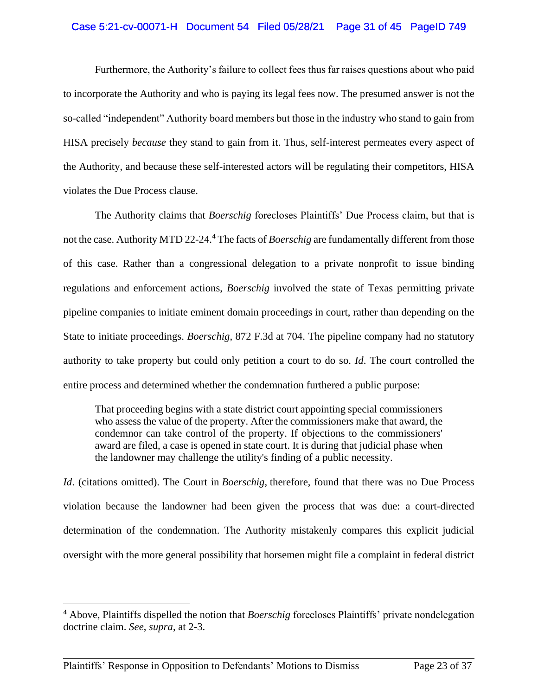### Case 5:21-cv-00071-H Document 54 Filed 05/28/21 Page 31 of 45 PageID 749

Furthermore, the Authority's failure to collect fees thus far raises questions about who paid to incorporate the Authority and who is paying its legal fees now. The presumed answer is not the so-called "independent" Authority board members but those in the industry who stand to gain from HISA precisely *because* they stand to gain from it. Thus, self-interest permeates every aspect of the Authority, and because these self-interested actors will be regulating their competitors, HISA violates the Due Process clause.

The Authority claims that *Boerschig* forecloses Plaintiffs' Due Process claim, but that is not the case. Authority MTD 22-24.<sup>4</sup> The facts of *Boerschig* are fundamentally different from those of this case. Rather than a congressional delegation to a private nonprofit to issue binding regulations and enforcement actions, *Boerschig* involved the state of Texas permitting private pipeline companies to initiate eminent domain proceedings in court, rather than depending on the State to initiate proceedings. *Boerschig*, 872 F.3d at 704. The pipeline company had no statutory authority to take property but could only petition a court to do so. *Id*. The court controlled the entire process and determined whether the condemnation furthered a public purpose:

That proceeding begins with a state district court appointing special commissioners who assess the value of the property. After the commissioners make that award, the condemnor can take control of the property. If objections to the commissioners' award are filed, a case is opened in state court. It is during that judicial phase when the landowner may challenge the utility's finding of a public necessity.

*Id*. (citations omitted). The Court in *Boerschig*, therefore, found that there was no Due Process violation because the landowner had been given the process that was due: a court-directed determination of the condemnation. The Authority mistakenly compares this explicit judicial oversight with the more general possibility that horsemen might file a complaint in federal district

<sup>4</sup> Above, Plaintiffs dispelled the notion that *Boerschig* forecloses Plaintiffs' private nondelegation doctrine claim. *See*, *supra*, at 2-3.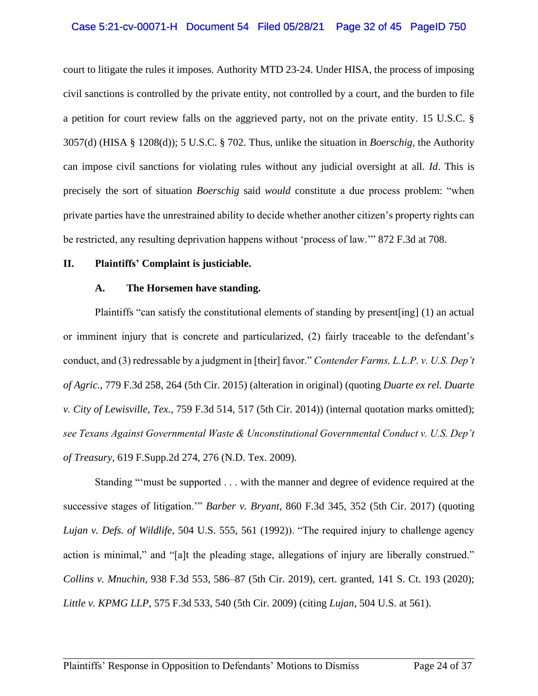### Case 5:21-cv-00071-H Document 54 Filed 05/28/21 Page 32 of 45 PageID 750

court to litigate the rules it imposes. Authority MTD 23-24. Under HISA, the process of imposing civil sanctions is controlled by the private entity, not controlled by a court, and the burden to file a petition for court review falls on the aggrieved party, not on the private entity. 15 U.S.C. § 3057(d) (HISA § 1208(d)); 5 U.S.C. § 702. Thus, unlike the situation in *Boerschig*, the Authority can impose civil sanctions for violating rules without any judicial oversight at all. *Id*. This is precisely the sort of situation *Boerschig* said *would* constitute a due process problem: "when private parties have the unrestrained ability to decide whether another citizen's property rights can be restricted, any resulting deprivation happens without 'process of law.'" 872 F.3d at 708.

#### **II. Plaintiffs' Complaint is justiciable.**

### **A. The Horsemen have standing.**

Plaintiffs "can satisfy the constitutional elements of standing by present[ing] (1) an actual or imminent injury that is concrete and particularized, (2) fairly traceable to the defendant's conduct, and (3) redressable by a judgment in [their] favor." *Contender Farms, L.L.P. v. U.S. Dep't of Agric.*, 779 F.3d 258, 264 (5th Cir. 2015) (alteration in original) (quoting *Duarte ex rel. Duarte v. City of Lewisville, Tex.*, 759 F.3d 514, 517 (5th Cir. 2014)) (internal quotation marks omitted); *see Texans Against Governmental Waste & Unconstitutional Governmental Conduct v. U.S. Dep't of Treasury*, 619 F.Supp.2d 274, 276 (N.D. Tex. 2009).

Standing "'must be supported . . . with the manner and degree of evidence required at the successive stages of litigation.'" *Barber v. Bryant*, 860 F.3d 345, 352 (5th Cir. 2017) (quoting *Lujan v. Defs. of Wildlife*, 504 U.S. 555, 561 (1992)). "The required injury to challenge agency action is minimal," and "[a]t the pleading stage, allegations of injury are liberally construed." *Collins v. Mnuchin*, 938 F.3d 553, 586–87 (5th Cir. 2019), cert. granted, 141 S. Ct. 193 (2020); *Little v. KPMG LLP*, 575 F.3d 533, 540 (5th Cir. 2009) (citing *Lujan*, 504 U.S. at 561).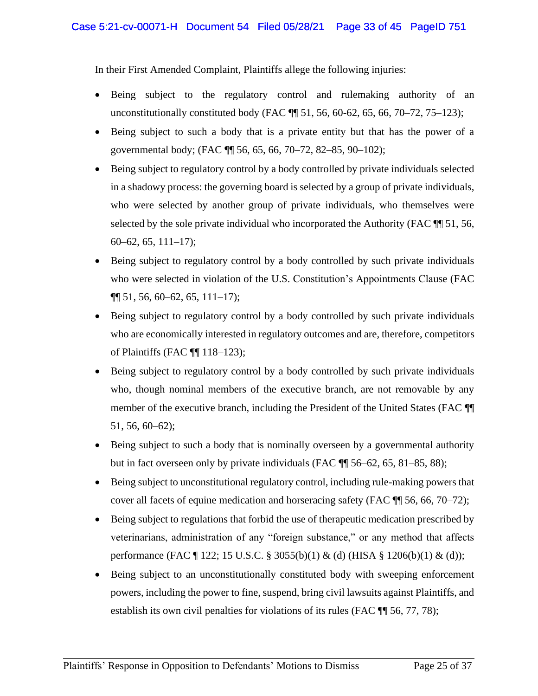In their First Amended Complaint, Plaintiffs allege the following injuries:

- Being subject to the regulatory control and rulemaking authority of an unconstitutionally constituted body (FAC  $\P$  51, 56, 60-62, 65, 66, 70–72, 75–123);
- Being subject to such a body that is a private entity but that has the power of a governmental body; (FAC ¶¶ 56, 65, 66, 70–72, 82–85, 90–102);
- Being subject to regulatory control by a body controlled by private individuals selected in a shadowy process: the governing board is selected by a group of private individuals, who were selected by another group of private individuals, who themselves were selected by the sole private individual who incorporated the Authority (FAC  $\P$  51, 56, 60–62, 65, 111–17);
- Being subject to regulatory control by a body controlled by such private individuals who were selected in violation of the U.S. Constitution's Appointments Clause (FAC  $\P\P$  51, 56, 60–62, 65, 111–17);
- Being subject to regulatory control by a body controlled by such private individuals who are economically interested in regulatory outcomes and are, therefore, competitors of Plaintiffs (FAC ¶¶ 118–123);
- Being subject to regulatory control by a body controlled by such private individuals who, though nominal members of the executive branch, are not removable by any member of the executive branch, including the President of the United States (FAC ¶¶ 51, 56, 60–62);
- Being subject to such a body that is nominally overseen by a governmental authority but in fact overseen only by private individuals (FAC  $\P$   $\parallel$  56–62, 65, 81–85, 88);
- Being subject to unconstitutional regulatory control, including rule-making powers that cover all facets of equine medication and horseracing safety (FAC ¶¶ 56, 66, 70–72);
- Being subject to regulations that forbid the use of therapeutic medication prescribed by veterinarians, administration of any "foreign substance," or any method that affects performance (FAC ¶ 122; 15 U.S.C. § 3055(b)(1) & (d) (HISA § 1206(b)(1) & (d));
- Being subject to an unconstitutionally constituted body with sweeping enforcement powers, including the power to fine, suspend, bring civil lawsuits against Plaintiffs, and establish its own civil penalties for violations of its rules (FAC ¶¶ 56, 77, 78);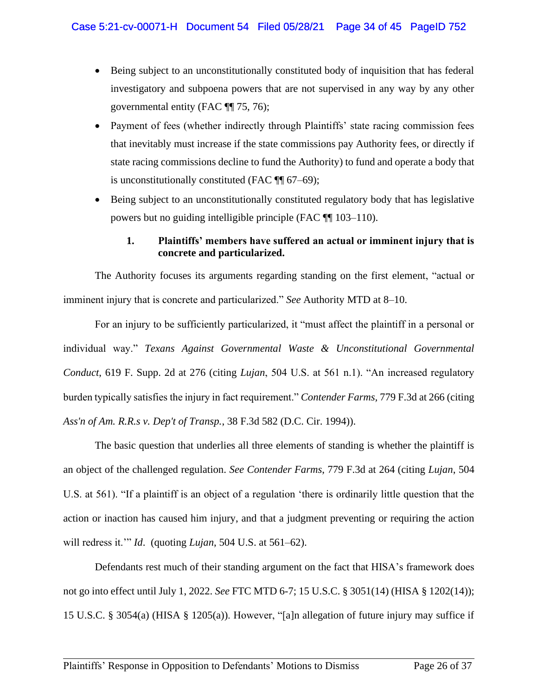- Being subject to an unconstitutionally constituted body of inquisition that has federal investigatory and subpoena powers that are not supervised in any way by any other governmental entity (FAC ¶¶ 75, 76);
- Payment of fees (whether indirectly through Plaintiffs' state racing commission fees that inevitably must increase if the state commissions pay Authority fees, or directly if state racing commissions decline to fund the Authority) to fund and operate a body that is unconstitutionally constituted (FAC  $\P$  67–69);
- Being subject to an unconstitutionally constituted regulatory body that has legislative powers but no guiding intelligible principle (FAC ¶¶ 103–110).

# **1. Plaintiffs' members have suffered an actual or imminent injury that is concrete and particularized.**

The Authority focuses its arguments regarding standing on the first element, "actual or imminent injury that is concrete and particularized." *See* Authority MTD at 8–10.

For an injury to be sufficiently particularized, it "must affect the plaintiff in a personal or individual way." *Texans Against Governmental Waste & Unconstitutional Governmental Conduct*, 619 F. Supp. 2d at 276 (citing *Lujan*, 504 U.S. at 561 n.1). "An increased regulatory burden typically satisfies the injury in fact requirement." *Contender Farms,* 779 F.3d at 266 (citing *Ass'n of Am. R.R.s v. Dep't of Transp.*, 38 F.3d 582 (D.C. Cir. 1994)).

The basic question that underlies all three elements of standing is whether the plaintiff is an object of the challenged regulation. *See Contender Farms*, 779 F.3d at 264 (citing *Lujan*, 504 U.S. at 561). "If a plaintiff is an object of a regulation 'there is ordinarily little question that the action or inaction has caused him injury, and that a judgment preventing or requiring the action will redress it.'" *Id*. (quoting *Lujan*, 504 U.S. at 561–62).

Defendants rest much of their standing argument on the fact that HISA's framework does not go into effect until July 1, 2022. *See* FTC MTD 6-7; 15 U.S.C. § 3051(14) (HISA § 1202(14)); 15 U.S.C. § 3054(a) (HISA § 1205(a)). However, "[a]n allegation of future injury may suffice if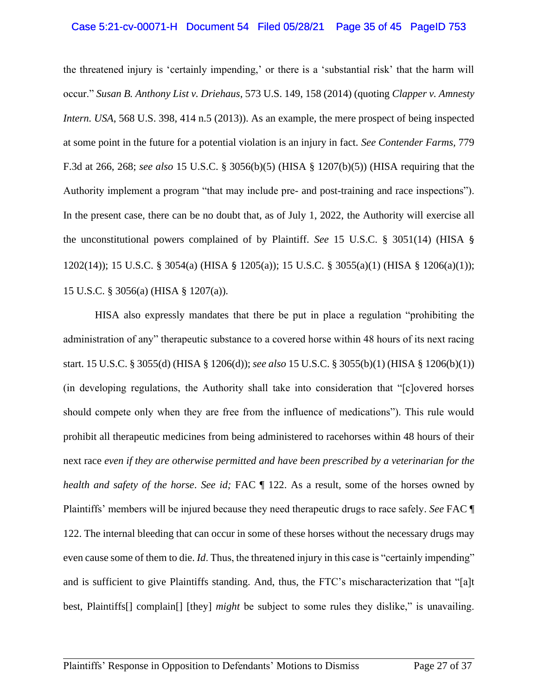#### Case 5:21-cv-00071-H Document 54 Filed 05/28/21 Page 35 of 45 PageID 753

the threatened injury is 'certainly impending,' or there is a 'substantial risk' that the harm will occur." *Susan B. Anthony List v. Driehaus*, 573 U.S. 149, 158 (2014) (quoting *Clapper v. Amnesty Intern. USA*, 568 U.S. 398, 414 n.5 (2013)). As an example, the mere prospect of being inspected at some point in the future for a potential violation is an injury in fact. *See Contender Farms,* 779 F.3d at 266, 268; *see also* 15 U.S.C. § 3056(b)(5) (HISA § 1207(b)(5)) (HISA requiring that the Authority implement a program "that may include pre- and post-training and race inspections"). In the present case, there can be no doubt that, as of July 1, 2022, the Authority will exercise all the unconstitutional powers complained of by Plaintiff. *See* 15 U.S.C. § 3051(14) (HISA § 1202(14)); 15 U.S.C. § 3054(a) (HISA § 1205(a)); 15 U.S.C. § 3055(a)(1) (HISA § 1206(a)(1)); 15 U.S.C. § 3056(a) (HISA § 1207(a)).

HISA also expressly mandates that there be put in place a regulation "prohibiting the administration of any" therapeutic substance to a covered horse within 48 hours of its next racing start. 15 U.S.C. § 3055(d) (HISA § 1206(d)); *see also* 15 U.S.C. § 3055(b)(1) (HISA § 1206(b)(1)) (in developing regulations, the Authority shall take into consideration that "[c]overed horses should compete only when they are free from the influence of medications"). This rule would prohibit all therapeutic medicines from being administered to racehorses within 48 hours of their next race *even if they are otherwise permitted and have been prescribed by a veterinarian for the health and safety of the horse. See id;* FAC  $\parallel$  122. As a result, some of the horses owned by Plaintiffs' members will be injured because they need therapeutic drugs to race safely. *See* FAC ¶ 122. The internal bleeding that can occur in some of these horses without the necessary drugs may even cause some of them to die. *Id*. Thus, the threatened injury in this case is "certainly impending" and is sufficient to give Plaintiffs standing. And, thus, the FTC's mischaracterization that "[a]t best, Plaintiffs[] complain[] [they] *might* be subject to some rules they dislike," is unavailing.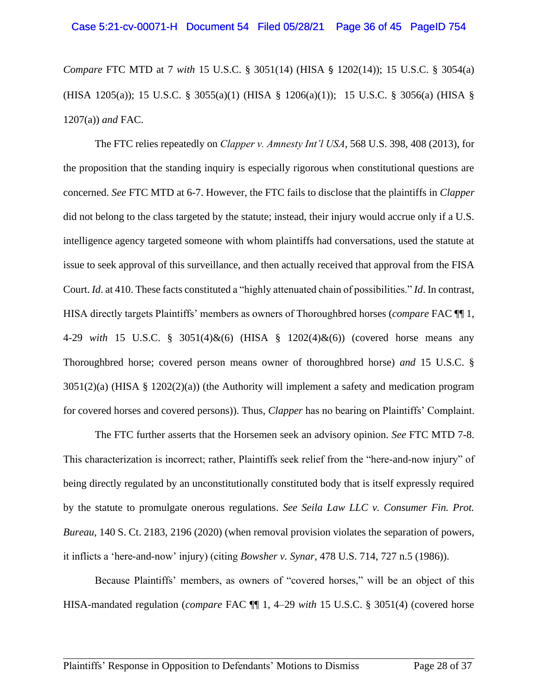*Compare* FTC MTD at 7 *with* 15 U.S.C. § 3051(14) (HISA § 1202(14)); 15 U.S.C. § 3054(a) (HISA 1205(a)); 15 U.S.C. § 3055(a)(1) (HISA § 1206(a)(1)); 15 U.S.C. § 3056(a) (HISA § 1207(a)) *and* FAC.

The FTC relies repeatedly on *Clapper v. Amnesty Int'l USA*, 568 U.S. 398, 408 (2013), for the proposition that the standing inquiry is especially rigorous when constitutional questions are concerned. *See* FTC MTD at 6-7. However, the FTC fails to disclose that the plaintiffs in *Clapper* did not belong to the class targeted by the statute; instead, their injury would accrue only if a U.S. intelligence agency targeted someone with whom plaintiffs had conversations, used the statute at issue to seek approval of this surveillance, and then actually received that approval from the FISA Court. *Id*. at 410. These facts constituted a "highly attenuated chain of possibilities." *Id*. In contrast, HISA directly targets Plaintiffs' members as owners of Thoroughbred horses (*compare* FAC ¶¶ 1, 4-29 *with* 15 U.S.C. § 3051(4)&(6) (HISA § 1202(4)&(6)) (covered horse means any Thoroughbred horse; covered person means owner of thoroughbred horse) *and* 15 U.S.C. § 3051(2)(a) (HISA § 1202(2)(a)) (the Authority will implement a safety and medication program for covered horses and covered persons)). Thus, *Clapper* has no bearing on Plaintiffs' Complaint.

The FTC further asserts that the Horsemen seek an advisory opinion. *See* FTC MTD 7-8. This characterization is incorrect; rather, Plaintiffs seek relief from the "here-and-now injury" of being directly regulated by an unconstitutionally constituted body that is itself expressly required by the statute to promulgate onerous regulations. *See Seila Law LLC v. Consumer Fin. Prot. Bureau*, 140 S. Ct. 2183, 2196 (2020) (when removal provision violates the separation of powers, it inflicts a 'here-and-now' injury) (citing *Bowsher v. Synar*, 478 U.S. 714, 727 n.5 (1986)).

Because Plaintiffs' members, as owners of "covered horses," will be an object of this HISA-mandated regulation (*compare* FAC ¶¶ 1, 4–29 *with* 15 U.S.C. § 3051(4) (covered horse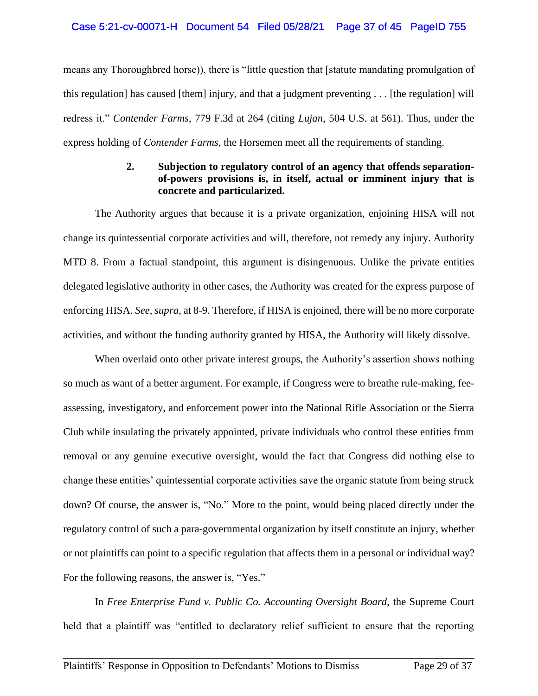means any Thoroughbred horse)), there is "little question that [statute mandating promulgation of this regulation] has caused [them] injury, and that a judgment preventing . . . [the regulation] will redress it." *Contender Farms*, 779 F.3d at 264 (citing *Lujan*, 504 U.S. at 561). Thus, under the express holding of *Contender Farms*, the Horsemen meet all the requirements of standing.

# **2. Subjection to regulatory control of an agency that offends separationof-powers provisions is, in itself, actual or imminent injury that is concrete and particularized.**

The Authority argues that because it is a private organization, enjoining HISA will not change its quintessential corporate activities and will, therefore, not remedy any injury. Authority MTD 8. From a factual standpoint, this argument is disingenuous. Unlike the private entities delegated legislative authority in other cases, the Authority was created for the express purpose of enforcing HISA. *See*, *supra*, at 8-9. Therefore, if HISA is enjoined, there will be no more corporate activities, and without the funding authority granted by HISA, the Authority will likely dissolve.

When overlaid onto other private interest groups, the Authority's assertion shows nothing so much as want of a better argument. For example, if Congress were to breathe rule-making, feeassessing, investigatory, and enforcement power into the National Rifle Association or the Sierra Club while insulating the privately appointed, private individuals who control these entities from removal or any genuine executive oversight, would the fact that Congress did nothing else to change these entities' quintessential corporate activities save the organic statute from being struck down? Of course, the answer is, "No." More to the point, would being placed directly under the regulatory control of such a para-governmental organization by itself constitute an injury, whether or not plaintiffs can point to a specific regulation that affects them in a personal or individual way? For the following reasons, the answer is, "Yes."

In *Free Enterprise Fund v. Public Co. Accounting Oversight Board*, the Supreme Court held that a plaintiff was "entitled to declaratory relief sufficient to ensure that the reporting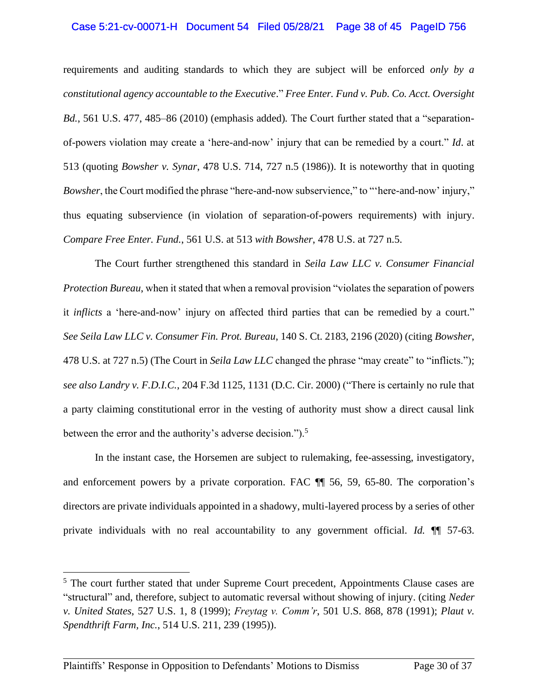#### Case 5:21-cv-00071-H Document 54 Filed 05/28/21 Page 38 of 45 PageID 756

requirements and auditing standards to which they are subject will be enforced *only by a constitutional agency accountable to the Executive*." *Free Enter. Fund v. Pub. Co. Acct. Oversight Bd.*, 561 U.S. 477, 485–86 (2010) (emphasis added)*.* The Court further stated that a "separationof-powers violation may create a 'here-and-now' injury that can be remedied by a court." *Id*. at 513 (quoting *Bowsher v. Synar*, 478 U.S. 714, 727 n.5 (1986)). It is noteworthy that in quoting *Bowsher*, the Court modified the phrase "here-and-now subservience," to "'here-and-now' injury," thus equating subservience (in violation of separation-of-powers requirements) with injury. *Compare Free Enter. Fund.*, 561 U.S. at 513 *with Bowsher*, 478 U.S. at 727 n.5.

The Court further strengthened this standard in *Seila Law LLC v. Consumer Financial Protection Bureau*, when it stated that when a removal provision "violates the separation of powers it *inflicts* a 'here-and-now' injury on affected third parties that can be remedied by a court." *See Seila Law LLC v. Consumer Fin. Prot. Bureau*, 140 S. Ct. 2183, 2196 (2020) (citing *Bowsher*, 478 U.S. at 727 n.5) (The Court in *Seila Law LLC* changed the phrase "may create" to "inflicts."); *see also Landry v. F.D.I.C.*, 204 F.3d 1125, 1131 (D.C. Cir. 2000) ("There is certainly no rule that a party claiming constitutional error in the vesting of authority must show a direct causal link between the error and the authority's adverse decision.").<sup>5</sup>

In the instant case, the Horsemen are subject to rulemaking, fee-assessing, investigatory, and enforcement powers by a private corporation. FAC ¶¶ 56, 59, 65-80. The corporation's directors are private individuals appointed in a shadowy, multi-layered process by a series of other private individuals with no real accountability to any government official. *Id.* ¶¶ 57-63.

<sup>&</sup>lt;sup>5</sup> The court further stated that under Supreme Court precedent, Appointments Clause cases are "structural" and, therefore, subject to automatic reversal without showing of injury. (citing *Neder v. United States*, 527 U.S. 1, 8 (1999); *Freytag v. Comm'r*, 501 U.S. 868, 878 (1991); *Plaut v. Spendthrift Farm, Inc.*, 514 U.S. 211, 239 (1995)).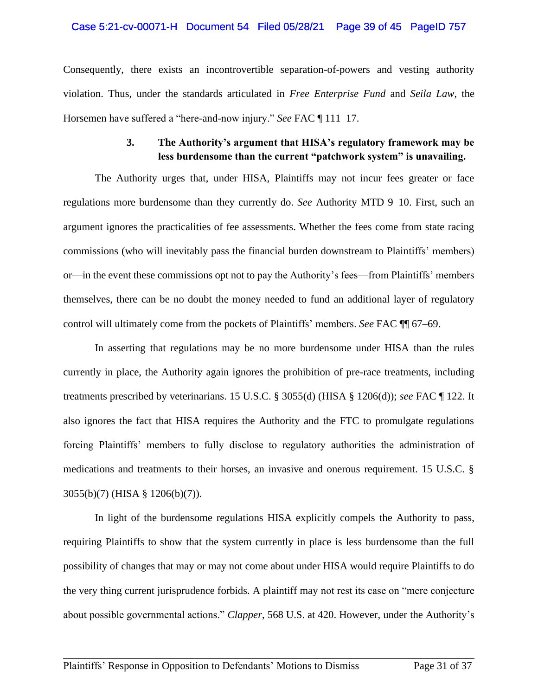### Case 5:21-cv-00071-H Document 54 Filed 05/28/21 Page 39 of 45 PageID 757

Consequently, there exists an incontrovertible separation-of-powers and vesting authority violation. Thus, under the standards articulated in *Free Enterprise Fund* and *Seila Law*, the Horsemen have suffered a "here-and-now injury." *See* FAC ¶ 111–17.

# **3. The Authority's argument that HISA's regulatory framework may be less burdensome than the current "patchwork system" is unavailing.**

The Authority urges that, under HISA, Plaintiffs may not incur fees greater or face regulations more burdensome than they currently do. *See* Authority MTD 9–10. First, such an argument ignores the practicalities of fee assessments. Whether the fees come from state racing commissions (who will inevitably pass the financial burden downstream to Plaintiffs' members) or—in the event these commissions opt not to pay the Authority's fees—from Plaintiffs' members themselves, there can be no doubt the money needed to fund an additional layer of regulatory control will ultimately come from the pockets of Plaintiffs' members. *See* FAC ¶¶ 67–69.

In asserting that regulations may be no more burdensome under HISA than the rules currently in place, the Authority again ignores the prohibition of pre-race treatments, including treatments prescribed by veterinarians. 15 U.S.C. § 3055(d) (HISA § 1206(d)); *see* FAC ¶ 122. It also ignores the fact that HISA requires the Authority and the FTC to promulgate regulations forcing Plaintiffs' members to fully disclose to regulatory authorities the administration of medications and treatments to their horses, an invasive and onerous requirement. 15 U.S.C. § 3055(b)(7) (HISA § 1206(b)(7)).

In light of the burdensome regulations HISA explicitly compels the Authority to pass, requiring Plaintiffs to show that the system currently in place is less burdensome than the full possibility of changes that may or may not come about under HISA would require Plaintiffs to do the very thing current jurisprudence forbids. A plaintiff may not rest its case on "mere conjecture about possible governmental actions." *Clapper*, 568 U.S. at 420. However, under the Authority's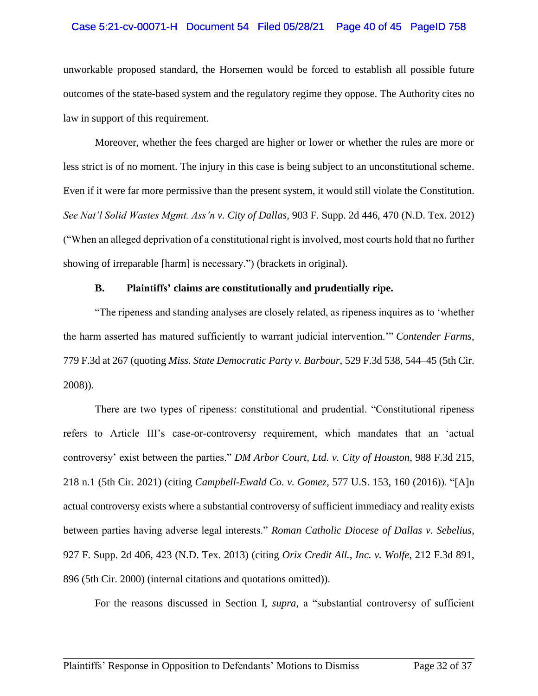### Case 5:21-cv-00071-H Document 54 Filed 05/28/21 Page 40 of 45 PageID 758

unworkable proposed standard, the Horsemen would be forced to establish all possible future outcomes of the state-based system and the regulatory regime they oppose. The Authority cites no law in support of this requirement.

Moreover, whether the fees charged are higher or lower or whether the rules are more or less strict is of no moment. The injury in this case is being subject to an unconstitutional scheme. Even if it were far more permissive than the present system, it would still violate the Constitution. *See Nat'l Solid Wastes Mgmt. Ass'n v. City of Dallas,* 903 F. Supp. 2d 446, 470 (N.D. Tex. 2012) ("When an alleged deprivation of a constitutional right is involved, most courts hold that no further showing of irreparable [harm] is necessary.") (brackets in original).

#### **B. Plaintiffs' claims are constitutionally and prudentially ripe.**

"The ripeness and standing analyses are closely related, as ripeness inquires as to 'whether the harm asserted has matured sufficiently to warrant judicial intervention.'" *Contender Farms*, 779 F.3d at 267 (quoting *Miss. State Democratic Party v. Barbour,* 529 F.3d 538, 544–45 (5th Cir. 2008)).

There are two types of ripeness: constitutional and prudential. "Constitutional ripeness refers to Article III's case-or-controversy requirement, which mandates that an 'actual controversy' exist between the parties." *DM Arbor Court, Ltd. v. City of Houston*, 988 F.3d 215, 218 n.1 (5th Cir. 2021) (citing *Campbell-Ewald Co. v. Gomez*, 577 U.S. 153, 160 (2016)). "[A]n actual controversy exists where a substantial controversy of sufficient immediacy and reality exists between parties having adverse legal interests." *Roman Catholic Diocese of Dallas v. Sebelius*, 927 F. Supp. 2d 406, 423 (N.D. Tex. 2013) (citing *Orix Credit All., Inc. v. Wolfe*, 212 F.3d 891, 896 (5th Cir. 2000) (internal citations and quotations omitted)).

For the reasons discussed in Section I, *supra*, a "substantial controversy of sufficient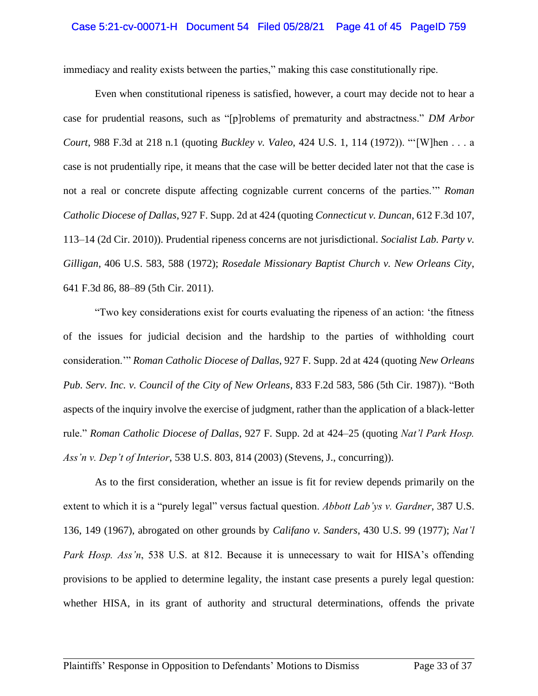#### Case 5:21-cv-00071-H Document 54 Filed 05/28/21 Page 41 of 45 PageID 759

immediacy and reality exists between the parties," making this case constitutionally ripe.

Even when constitutional ripeness is satisfied, however, a court may decide not to hear a case for prudential reasons, such as "[p]roblems of prematurity and abstractness." *DM Arbor Court*, 988 F.3d at 218 n.1 (quoting *Buckley v. Valeo*, 424 U.S. 1, 114 (1972)). "'[W]hen . . . a case is not prudentially ripe, it means that the case will be better decided later not that the case is not a real or concrete dispute affecting cognizable current concerns of the parties.'" *Roman Catholic Diocese of Dallas*, 927 F. Supp. 2d at 424 (quoting *Connecticut v. Duncan*, 612 F.3d 107, 113–14 (2d Cir. 2010)). Prudential ripeness concerns are not jurisdictional. *Socialist Lab. Party v. Gilligan*, 406 U.S. 583, 588 (1972); *Rosedale Missionary Baptist Church v. New Orleans City*, 641 F.3d 86, 88–89 (5th Cir. 2011).

"Two key considerations exist for courts evaluating the ripeness of an action: 'the fitness of the issues for judicial decision and the hardship to the parties of withholding court consideration.'" *Roman Catholic Diocese of Dallas*, 927 F. Supp. 2d at 424 (quoting *New Orleans Pub. Serv. Inc. v. Council of the City of New Orleans*, 833 F.2d 583, 586 (5th Cir. 1987)). "Both aspects of the inquiry involve the exercise of judgment, rather than the application of a black-letter rule." *Roman Catholic Diocese of Dallas*, 927 F. Supp. 2d at 424–25 (quoting *Nat'l Park Hosp. Ass'n v. Dep't of Interior*, 538 U.S. 803, 814 (2003) (Stevens, J., concurring)).

As to the first consideration, whether an issue is fit for review depends primarily on the extent to which it is a "purely legal" versus factual question. *Abbott Lab'ys v. Gardner*, 387 U.S. 136, 149 (1967), abrogated on other grounds by *Califano v. Sanders*, 430 U.S. 99 (1977); *Nat'l Park Hosp. Ass'n*, 538 U.S. at 812. Because it is unnecessary to wait for HISA's offending provisions to be applied to determine legality, the instant case presents a purely legal question: whether HISA, in its grant of authority and structural determinations, offends the private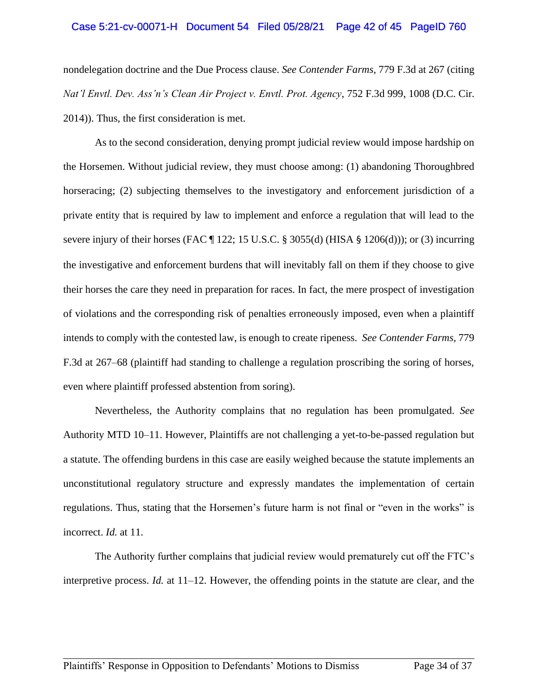#### Case 5:21-cv-00071-H Document 54 Filed 05/28/21 Page 42 of 45 PageID 760

nondelegation doctrine and the Due Process clause. *See Contender Farms*, 779 F.3d at 267 (citing *Nat'l Envtl. Dev. Ass'n's Clean Air Project v. Envtl. Prot. Agency*, 752 F.3d 999, 1008 (D.C. Cir. 2014)). Thus, the first consideration is met.

As to the second consideration, denying prompt judicial review would impose hardship on the Horsemen. Without judicial review, they must choose among: (1) abandoning Thoroughbred horseracing; (2) subjecting themselves to the investigatory and enforcement jurisdiction of a private entity that is required by law to implement and enforce a regulation that will lead to the severe injury of their horses (FAC ¶ 122; 15 U.S.C. § 3055(d) (HISA § 1206(d))); or (3) incurring the investigative and enforcement burdens that will inevitably fall on them if they choose to give their horses the care they need in preparation for races. In fact, the mere prospect of investigation of violations and the corresponding risk of penalties erroneously imposed, even when a plaintiff intends to comply with the contested law, is enough to create ripeness. *See Contender Farms*, 779 F.3d at 267–68 (plaintiff had standing to challenge a regulation proscribing the soring of horses, even where plaintiff professed abstention from soring).

Nevertheless, the Authority complains that no regulation has been promulgated. *See*  Authority MTD 10–11. However, Plaintiffs are not challenging a yet-to-be-passed regulation but a statute. The offending burdens in this case are easily weighed because the statute implements an unconstitutional regulatory structure and expressly mandates the implementation of certain regulations. Thus, stating that the Horsemen's future harm is not final or "even in the works" is incorrect. *Id.* at 11.

The Authority further complains that judicial review would prematurely cut off the FTC's interpretive process. *Id.* at 11–12. However, the offending points in the statute are clear, and the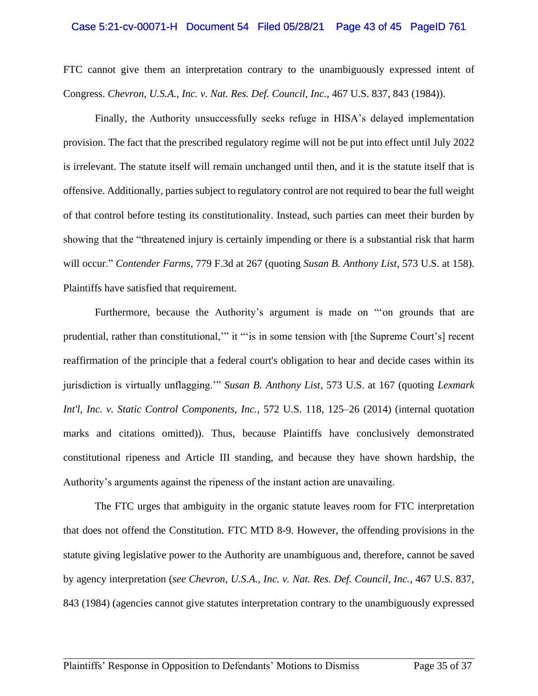#### Case 5:21-cv-00071-H Document 54 Filed 05/28/21 Page 43 of 45 PageID 761

FTC cannot give them an interpretation contrary to the unambiguously expressed intent of Congress. *Chevron, U.S.A., Inc. v. Nat. Res. Def. Council, Inc.*, 467 U.S. 837, 843 (1984)).

Finally, the Authority unsuccessfully seeks refuge in HISA's delayed implementation provision. The fact that the prescribed regulatory regime will not be put into effect until July 2022 is irrelevant. The statute itself will remain unchanged until then, and it is the statute itself that is offensive. Additionally, parties subject to regulatory control are not required to bear the full weight of that control before testing its constitutionality. Instead, such parties can meet their burden by showing that the "threatened injury is certainly impending or there is a substantial risk that harm will occur." *Contender Farms*, 779 F.3d at 267 (quoting *Susan B. Anthony List*, 573 U.S. at 158). Plaintiffs have satisfied that requirement.

Furthermore, because the Authority's argument is made on "'on grounds that are prudential, rather than constitutional,'" it "'is in some tension with [the Supreme Court's] recent reaffirmation of the principle that a federal court's obligation to hear and decide cases within its jurisdiction is virtually unflagging.'" *Susan B. Anthony List*, 573 U.S. at 167 (quoting *Lexmark Int'l, Inc. v. Static Control Components, Inc.*, 572 U.S. 118, 125–26 (2014) (internal quotation marks and citations omitted)). Thus, because Plaintiffs have conclusively demonstrated constitutional ripeness and Article III standing, and because they have shown hardship, the Authority's arguments against the ripeness of the instant action are unavailing.

The FTC urges that ambiguity in the organic statute leaves room for FTC interpretation that does not offend the Constitution. FTC MTD 8-9. However, the offending provisions in the statute giving legislative power to the Authority are unambiguous and, therefore, cannot be saved by agency interpretation (*see Chevron, U.S.A., Inc. v. Nat. Res. Def. Council, Inc.*, 467 U.S. 837, 843 (1984) (agencies cannot give statutes interpretation contrary to the unambiguously expressed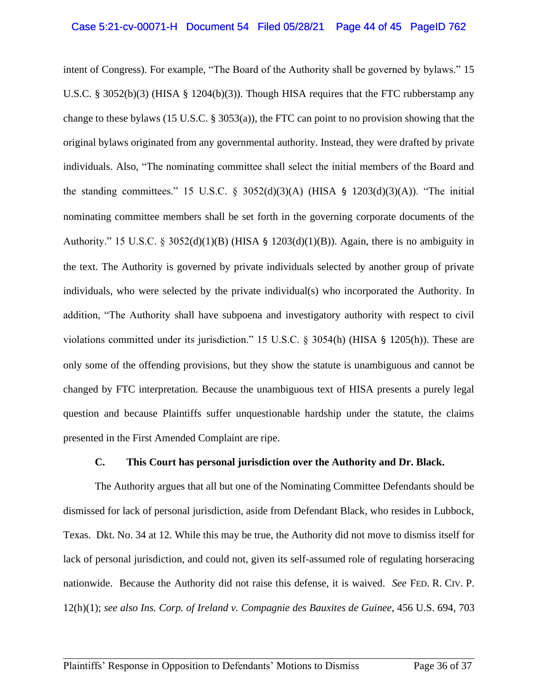intent of Congress). For example, "The Board of the Authority shall be governed by bylaws." 15 U.S.C. § 3052(b)(3) (HISA § 1204(b)(3)). Though HISA requires that the FTC rubberstamp any change to these bylaws (15 U.S.C. § 3053(a)), the FTC can point to no provision showing that the original bylaws originated from any governmental authority. Instead, they were drafted by private individuals. Also, "The nominating committee shall select the initial members of the Board and the standing committees." 15 U.S.C. § 3052(d)(3)(A) (HISA § 1203(d)(3)(A)). "The initial nominating committee members shall be set forth in the governing corporate documents of the Authority." 15 U.S.C. § 3052(d)(1)(B) (HISA § 1203(d)(1)(B)). Again, there is no ambiguity in the text. The Authority is governed by private individuals selected by another group of private individuals, who were selected by the private individual(s) who incorporated the Authority. In addition, "The Authority shall have subpoena and investigatory authority with respect to civil violations committed under its jurisdiction." 15 U.S.C. § 3054(h) (HISA § 1205(h)). These are only some of the offending provisions, but they show the statute is unambiguous and cannot be changed by FTC interpretation. Because the unambiguous text of HISA presents a purely legal question and because Plaintiffs suffer unquestionable hardship under the statute, the claims presented in the First Amended Complaint are ripe.

#### **C. This Court has personal jurisdiction over the Authority and Dr. Black.**

The Authority argues that all but one of the Nominating Committee Defendants should be dismissed for lack of personal jurisdiction, aside from Defendant Black, who resides in Lubbock, Texas. Dkt. No. 34 at 12. While this may be true, the Authority did not move to dismiss itself for lack of personal jurisdiction, and could not, given its self-assumed role of regulating horseracing nationwide. Because the Authority did not raise this defense, it is waived. *See* FED. R. CIV. P. 12(h)(1); *see also Ins. Corp. of Ireland v. Compagnie des Bauxites de Guinee*, 456 U.S. 694, 703